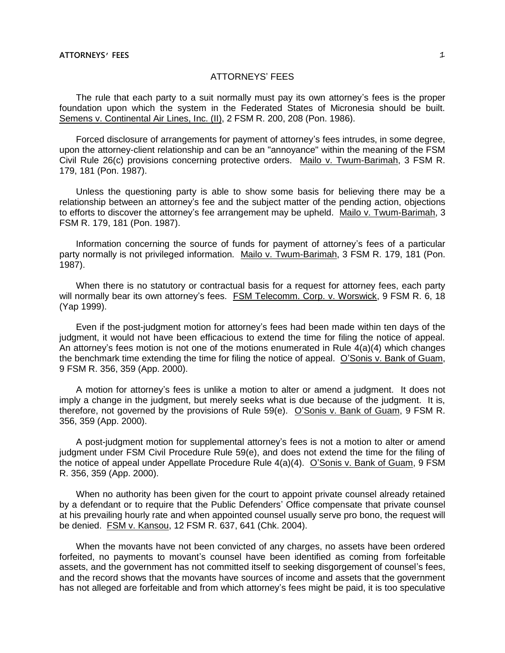# ATTORNEYS' FEES

The rule that each party to a suit normally must pay its own attorney's fees is the proper foundation upon which the system in the Federated States of Micronesia should be built. Semens v. Continental Air Lines, Inc. (II), 2 FSM R. 200, 208 (Pon. 1986).

Forced disclosure of arrangements for payment of attorney's fees intrudes, in some degree, upon the attorney-client relationship and can be an "annoyance" within the meaning of the FSM Civil Rule 26(c) provisions concerning protective orders. Mailo v. Twum-Barimah, 3 FSM R. 179, 181 (Pon. 1987).

Unless the questioning party is able to show some basis for believing there may be a relationship between an attorney's fee and the subject matter of the pending action, objections to efforts to discover the attorney's fee arrangement may be upheld. Mailo v. Twum-Barimah, 3 FSM R. 179, 181 (Pon. 1987).

Information concerning the source of funds for payment of attorney's fees of a particular party normally is not privileged information. Mailo v. Twum-Barimah, 3 FSM R. 179, 181 (Pon. 1987).

When there is no statutory or contractual basis for a request for attorney fees, each party will normally bear its own attorney's fees. FSM Telecomm. Corp. v. Worswick, 9 FSM R. 6, 18 (Yap 1999).

Even if the post-judgment motion for attorney's fees had been made within ten days of the judgment, it would not have been efficacious to extend the time for filing the notice of appeal. An attorney's fees motion is not one of the motions enumerated in Rule  $4(a)(4)$  which changes the benchmark time extending the time for filing the notice of appeal. O'Sonis v. Bank of Guam, 9 FSM R. 356, 359 (App. 2000).

A motion for attorney's fees is unlike a motion to alter or amend a judgment. It does not imply a change in the judgment, but merely seeks what is due because of the judgment. It is, therefore, not governed by the provisions of Rule 59(e). O'Sonis v. Bank of Guam, 9 FSM R. 356, 359 (App. 2000).

A post-judgment motion for supplemental attorney's fees is not a motion to alter or amend judgment under FSM Civil Procedure Rule 59(e), and does not extend the time for the filing of the notice of appeal under Appellate Procedure Rule 4(a)(4). O'Sonis v. Bank of Guam, 9 FSM R. 356, 359 (App. 2000).

When no authority has been given for the court to appoint private counsel already retained by a defendant or to require that the Public Defenders' Office compensate that private counsel at his prevailing hourly rate and when appointed counsel usually serve pro bono, the request will be denied. FSM v. Kansou, 12 FSM R. 637, 641 (Chk. 2004).

When the movants have not been convicted of any charges, no assets have been ordered forfeited, no payments to movant's counsel have been identified as coming from forfeitable assets, and the government has not committed itself to seeking disgorgement of counsel's fees, and the record shows that the movants have sources of income and assets that the government has not alleged are forfeitable and from which attorney's fees might be paid, it is too speculative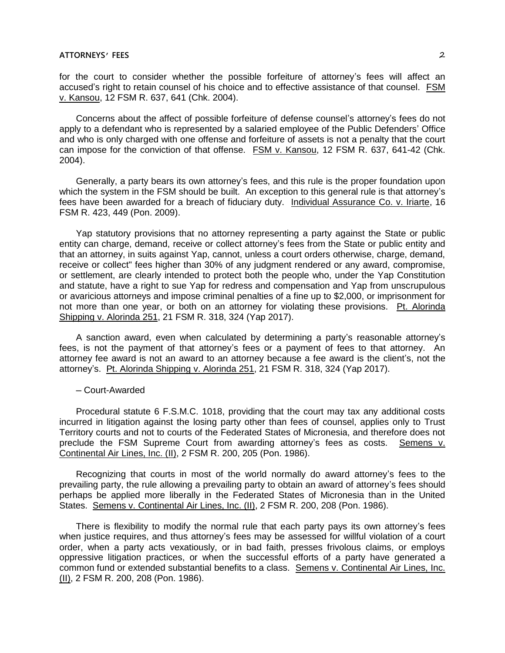# **ATTORNEYS' FEES** 2

for the court to consider whether the possible forfeiture of attorney's fees will affect an accused's right to retain counsel of his choice and to effective assistance of that counsel. FSM v. Kansou, 12 FSM R. 637, 641 (Chk. 2004).

Concerns about the affect of possible forfeiture of defense counsel's attorney's fees do not apply to a defendant who is represented by a salaried employee of the Public Defenders' Office and who is only charged with one offense and forfeiture of assets is not a penalty that the court can impose for the conviction of that offense. FSM v. Kansou, 12 FSM R. 637, 641-42 (Chk. 2004).

Generally, a party bears its own attorney's fees, and this rule is the proper foundation upon which the system in the FSM should be built. An exception to this general rule is that attorney's fees have been awarded for a breach of fiduciary duty. Individual Assurance Co. v. Iriarte, 16 FSM R. 423, 449 (Pon. 2009).

Yap statutory provisions that no attorney representing a party against the State or public entity can charge, demand, receive or collect attorney's fees from the State or public entity and that an attorney, in suits against Yap, cannot, unless a court orders otherwise, charge, demand, receive or collect" fees higher than 30% of any judgment rendered or any award, compromise, or settlement, are clearly intended to protect both the people who, under the Yap Constitution and statute, have a right to sue Yap for redress and compensation and Yap from unscrupulous or avaricious attorneys and impose criminal penalties of a fine up to \$2,000, or imprisonment for not more than one year, or both on an attorney for violating these provisions. Pt. Alorinda Shipping v. Alorinda 251, 21 FSM R. 318, 324 (Yap 2017).

A sanction award, even when calculated by determining a party's reasonable attorney's fees, is not the payment of that attorney's fees or a payment of fees to that attorney. An attorney fee award is not an award to an attorney because a fee award is the client's, not the attorney's. Pt. Alorinda Shipping v. Alorinda 251, 21 FSM R. 318, 324 (Yap 2017).

─ Court-Awarded

Procedural statute 6 F.S.M.C. 1018, providing that the court may tax any additional costs incurred in litigation against the losing party other than fees of counsel, applies only to Trust Territory courts and not to courts of the Federated States of Micronesia, and therefore does not preclude the FSM Supreme Court from awarding attorney's fees as costs. Semens v. Continental Air Lines, Inc. (II), 2 FSM R. 200, 205 (Pon. 1986).

Recognizing that courts in most of the world normally do award attorney's fees to the prevailing party, the rule allowing a prevailing party to obtain an award of attorney's fees should perhaps be applied more liberally in the Federated States of Micronesia than in the United States. Semens v. Continental Air Lines, Inc. (II), 2 FSM R. 200, 208 (Pon. 1986).

There is flexibility to modify the normal rule that each party pays its own attorney's fees when justice requires, and thus attorney's fees may be assessed for willful violation of a court order, when a party acts vexatiously, or in bad faith, presses frivolous claims, or employs oppressive litigation practices, or when the successful efforts of a party have generated a common fund or extended substantial benefits to a class. Semens v. Continental Air Lines, Inc. (II), 2 FSM R. 200, 208 (Pon. 1986).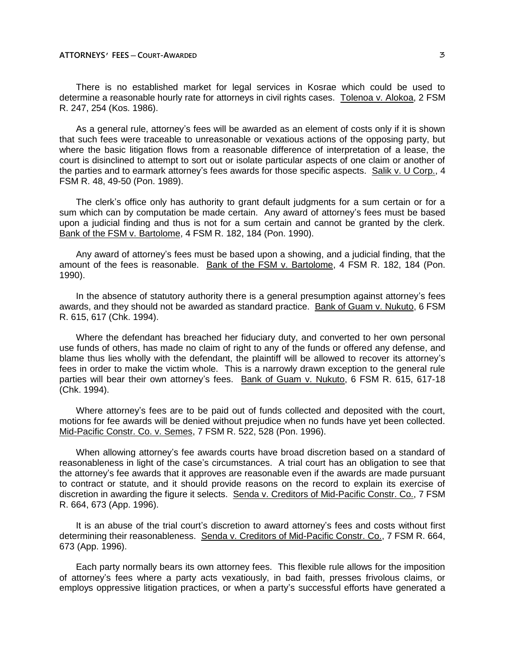There is no established market for legal services in Kosrae which could be used to determine a reasonable hourly rate for attorneys in civil rights cases. Tolenoa v. Alokoa, 2 FSM R. 247, 254 (Kos. 1986).

As a general rule, attorney's fees will be awarded as an element of costs only if it is shown that such fees were traceable to unreasonable or vexatious actions of the opposing party, but where the basic litigation flows from a reasonable difference of interpretation of a lease, the court is disinclined to attempt to sort out or isolate particular aspects of one claim or another of the parties and to earmark attorney's fees awards for those specific aspects. Salik v. U Corp., 4 FSM R. 48, 49-50 (Pon. 1989).

The clerk's office only has authority to grant default judgments for a sum certain or for a sum which can by computation be made certain. Any award of attorney's fees must be based upon a judicial finding and thus is not for a sum certain and cannot be granted by the clerk. Bank of the FSM v. Bartolome, 4 FSM R. 182, 184 (Pon. 1990).

Any award of attorney's fees must be based upon a showing, and a judicial finding, that the amount of the fees is reasonable. Bank of the FSM v. Bartolome, 4 FSM R. 182, 184 (Pon. 1990).

In the absence of statutory authority there is a general presumption against attorney's fees awards, and they should not be awarded as standard practice. Bank of Guam v. Nukuto, 6 FSM R. 615, 617 (Chk. 1994).

Where the defendant has breached her fiduciary duty, and converted to her own personal use funds of others, has made no claim of right to any of the funds or offered any defense, and blame thus lies wholly with the defendant, the plaintiff will be allowed to recover its attorney's fees in order to make the victim whole. This is a narrowly drawn exception to the general rule parties will bear their own attorney's fees. Bank of Guam v. Nukuto, 6 FSM R. 615, 617-18 (Chk. 1994).

Where attorney's fees are to be paid out of funds collected and deposited with the court, motions for fee awards will be denied without prejudice when no funds have yet been collected. Mid-Pacific Constr. Co. v. Semes, 7 FSM R. 522, 528 (Pon. 1996).

When allowing attorney's fee awards courts have broad discretion based on a standard of reasonableness in light of the case's circumstances. A trial court has an obligation to see that the attorney's fee awards that it approves are reasonable even if the awards are made pursuant to contract or statute, and it should provide reasons on the record to explain its exercise of discretion in awarding the figure it selects. Senda v. Creditors of Mid-Pacific Constr. Co., 7 FSM R. 664, 673 (App. 1996).

It is an abuse of the trial court's discretion to award attorney's fees and costs without first determining their reasonableness. Senda v. Creditors of Mid-Pacific Constr. Co., 7 FSM R. 664, 673 (App. 1996).

Each party normally bears its own attorney fees. This flexible rule allows for the imposition of attorney's fees where a party acts vexatiously, in bad faith, presses frivolous claims, or employs oppressive litigation practices, or when a party's successful efforts have generated a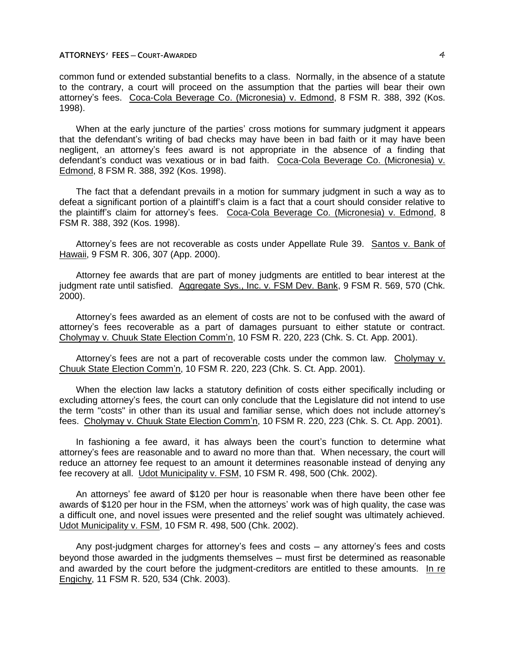common fund or extended substantial benefits to a class. Normally, in the absence of a statute to the contrary, a court will proceed on the assumption that the parties will bear their own attorney's fees. Coca-Cola Beverage Co. (Micronesia) v. Edmond, 8 FSM R. 388, 392 (Kos. 1998).

When at the early juncture of the parties' cross motions for summary judgment it appears that the defendant's writing of bad checks may have been in bad faith or it may have been negligent, an attorney's fees award is not appropriate in the absence of a finding that defendant's conduct was vexatious or in bad faith. Coca-Cola Beverage Co. (Micronesia) v. Edmond, 8 FSM R. 388, 392 (Kos. 1998).

The fact that a defendant prevails in a motion for summary judgment in such a way as to defeat a significant portion of a plaintiff's claim is a fact that a court should consider relative to the plaintiff's claim for attorney's fees. Coca-Cola Beverage Co. (Micronesia) v. Edmond, 8 FSM R. 388, 392 (Kos. 1998).

Attorney's fees are not recoverable as costs under Appellate Rule 39. Santos v. Bank of Hawaii, 9 FSM R. 306, 307 (App. 2000).

Attorney fee awards that are part of money judgments are entitled to bear interest at the judgment rate until satisfied. Aggregate Sys., Inc. v. FSM Dev. Bank, 9 FSM R. 569, 570 (Chk. 2000).

Attorney's fees awarded as an element of costs are not to be confused with the award of attorney's fees recoverable as a part of damages pursuant to either statute or contract. Cholymay v. Chuuk State Election Comm'n, 10 FSM R. 220, 223 (Chk. S. Ct. App. 2001).

Attorney's fees are not a part of recoverable costs under the common law. Cholymay v. Chuuk State Election Comm'n, 10 FSM R. 220, 223 (Chk. S. Ct. App. 2001).

When the election law lacks a statutory definition of costs either specifically including or excluding attorney's fees, the court can only conclude that the Legislature did not intend to use the term "costs" in other than its usual and familiar sense, which does not include attorney's fees. Cholymay v. Chuuk State Election Comm'n, 10 FSM R. 220, 223 (Chk. S. Ct. App. 2001).

In fashioning a fee award, it has always been the court's function to determine what attorney's fees are reasonable and to award no more than that. When necessary, the court will reduce an attorney fee request to an amount it determines reasonable instead of denying any fee recovery at all. Udot Municipality v. FSM, 10 FSM R. 498, 500 (Chk. 2002).

An attorneys' fee award of \$120 per hour is reasonable when there have been other fee awards of \$120 per hour in the FSM, when the attorneys' work was of high quality, the case was a difficult one, and novel issues were presented and the relief sought was ultimately achieved. Udot Municipality v. FSM, 10 FSM R. 498, 500 (Chk. 2002).

Any post-judgment charges for attorney's fees and costs — any attorney's fees and costs beyond those awarded in the judgments themselves - must first be determined as reasonable and awarded by the court before the judgment-creditors are entitled to these amounts. In re Engichy, 11 FSM R. 520, 534 (Chk. 2003).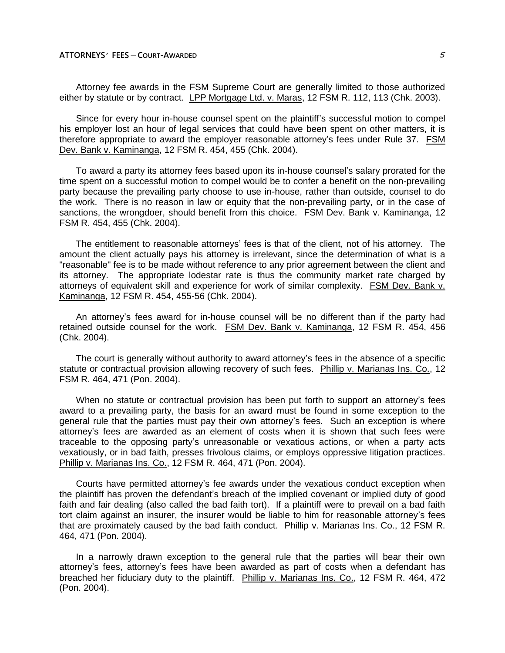Attorney fee awards in the FSM Supreme Court are generally limited to those authorized either by statute or by contract. LPP Mortgage Ltd. v. Maras, 12 FSM R. 112, 113 (Chk. 2003).

Since for every hour in-house counsel spent on the plaintiff's successful motion to compel his employer lost an hour of legal services that could have been spent on other matters, it is therefore appropriate to award the employer reasonable attorney's fees under Rule 37. FSM Dev. Bank v. Kaminanga, 12 FSM R. 454, 455 (Chk. 2004).

To award a party its attorney fees based upon its in-house counsel's salary prorated for the time spent on a successful motion to compel would be to confer a benefit on the non-prevailing party because the prevailing party choose to use in-house, rather than outside, counsel to do the work. There is no reason in law or equity that the non-prevailing party, or in the case of sanctions, the wrongdoer, should benefit from this choice. FSM Dev. Bank v. Kaminanga, 12 FSM R. 454, 455 (Chk. 2004).

The entitlement to reasonable attorneys' fees is that of the client, not of his attorney. The amount the client actually pays his attorney is irrelevant, since the determination of what is a "reasonable" fee is to be made without reference to any prior agreement between the client and its attorney. The appropriate lodestar rate is thus the community market rate charged by attorneys of equivalent skill and experience for work of similar complexity. FSM Dev. Bank v. Kaminanga, 12 FSM R. 454, 455-56 (Chk. 2004).

An attorney's fees award for in-house counsel will be no different than if the party had retained outside counsel for the work. FSM Dev. Bank v. Kaminanga, 12 FSM R. 454, 456 (Chk. 2004).

The court is generally without authority to award attorney's fees in the absence of a specific statute or contractual provision allowing recovery of such fees. Phillip v. Marianas Ins. Co., 12 FSM R. 464, 471 (Pon. 2004).

When no statute or contractual provision has been put forth to support an attorney's fees award to a prevailing party, the basis for an award must be found in some exception to the general rule that the parties must pay their own attorney's fees. Such an exception is where attorney's fees are awarded as an element of costs when it is shown that such fees were traceable to the opposing party's unreasonable or vexatious actions, or when a party acts vexatiously, or in bad faith, presses frivolous claims, or employs oppressive litigation practices. Phillip v. Marianas Ins. Co., 12 FSM R. 464, 471 (Pon. 2004).

Courts have permitted attorney's fee awards under the vexatious conduct exception when the plaintiff has proven the defendant's breach of the implied covenant or implied duty of good faith and fair dealing (also called the bad faith tort). If a plaintiff were to prevail on a bad faith tort claim against an insurer, the insurer would be liable to him for reasonable attorney's fees that are proximately caused by the bad faith conduct. Phillip v. Marianas Ins. Co., 12 FSM R. 464, 471 (Pon. 2004).

In a narrowly drawn exception to the general rule that the parties will bear their own attorney's fees, attorney's fees have been awarded as part of costs when a defendant has breached her fiduciary duty to the plaintiff. Phillip v. Marianas Ins. Co., 12 FSM R. 464, 472 (Pon. 2004).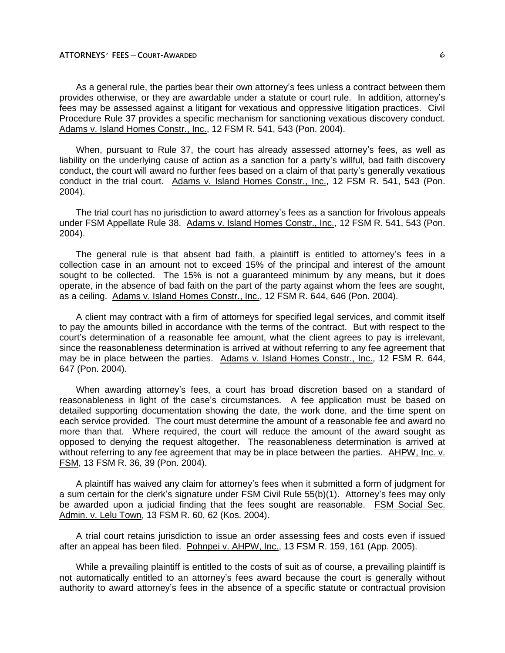As a general rule, the parties bear their own attorney's fees unless a contract between them provides otherwise, or they are awardable under a statute or court rule. In addition, attorney's fees may be assessed against a litigant for vexatious and oppressive litigation practices. Civil Procedure Rule 37 provides a specific mechanism for sanctioning vexatious discovery conduct. Adams v. Island Homes Constr., Inc., 12 FSM R. 541, 543 (Pon. 2004).

When, pursuant to Rule 37, the court has already assessed attorney's fees, as well as liability on the underlying cause of action as a sanction for a party's willful, bad faith discovery conduct, the court will award no further fees based on a claim of that party's generally vexatious conduct in the trial court. Adams v. Island Homes Constr., Inc., 12 FSM R. 541, 543 (Pon. 2004).

The trial court has no jurisdiction to award attorney's fees as a sanction for frivolous appeals under FSM Appellate Rule 38. Adams v. Island Homes Constr., Inc., 12 FSM R. 541, 543 (Pon. 2004).

The general rule is that absent bad faith, a plaintiff is entitled to attorney's fees in a collection case in an amount not to exceed 15% of the principal and interest of the amount sought to be collected. The 15% is not a guaranteed minimum by any means, but it does operate, in the absence of bad faith on the part of the party against whom the fees are sought, as a ceiling. Adams v. Island Homes Constr., Inc., 12 FSM R. 644, 646 (Pon. 2004).

A client may contract with a firm of attorneys for specified legal services, and commit itself to pay the amounts billed in accordance with the terms of the contract. But with respect to the court's determination of a reasonable fee amount, what the client agrees to pay is irrelevant, since the reasonableness determination is arrived at without referring to any fee agreement that may be in place between the parties. Adams v. Island Homes Constr., Inc., 12 FSM R. 644, 647 (Pon. 2004).

When awarding attorney's fees, a court has broad discretion based on a standard of reasonableness in light of the case's circumstances. A fee application must be based on detailed supporting documentation showing the date, the work done, and the time spent on each service provided. The court must determine the amount of a reasonable fee and award no more than that. Where required, the court will reduce the amount of the award sought as opposed to denying the request altogether. The reasonableness determination is arrived at without referring to any fee agreement that may be in place between the parties. AHPW, Inc. v. FSM, 13 FSM R. 36, 39 (Pon. 2004).

A plaintiff has waived any claim for attorney's fees when it submitted a form of judgment for a sum certain for the clerk's signature under FSM Civil Rule 55(b)(1). Attorney's fees may only be awarded upon a judicial finding that the fees sought are reasonable. FSM Social Sec. Admin. v. Lelu Town, 13 FSM R. 60, 62 (Kos. 2004).

A trial court retains jurisdiction to issue an order assessing fees and costs even if issued after an appeal has been filed. Pohnpei v. AHPW, Inc., 13 FSM R. 159, 161 (App. 2005).

While a prevailing plaintiff is entitled to the costs of suit as of course, a prevailing plaintiff is not automatically entitled to an attorney's fees award because the court is generally without authority to award attorney's fees in the absence of a specific statute or contractual provision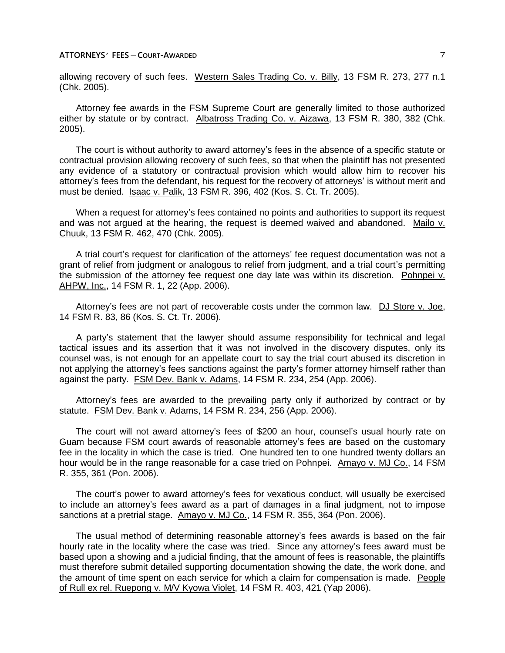allowing recovery of such fees. Western Sales Trading Co. v. Billy, 13 FSM R. 273, 277 n.1 (Chk. 2005).

Attorney fee awards in the FSM Supreme Court are generally limited to those authorized either by statute or by contract. Albatross Trading Co. v. Aizawa, 13 FSM R. 380, 382 (Chk. 2005).

The court is without authority to award attorney's fees in the absence of a specific statute or contractual provision allowing recovery of such fees, so that when the plaintiff has not presented any evidence of a statutory or contractual provision which would allow him to recover his attorney's fees from the defendant, his request for the recovery of attorneys' is without merit and must be denied. Isaac v. Palik, 13 FSM R. 396, 402 (Kos. S. Ct. Tr. 2005).

When a request for attorney's fees contained no points and authorities to support its request and was not argued at the hearing, the request is deemed waived and abandoned. Mailo v. Chuuk, 13 FSM R. 462, 470 (Chk. 2005).

A trial court's request for clarification of the attorneys' fee request documentation was not a grant of relief from judgment or analogous to relief from judgment, and a trial court's permitting the submission of the attorney fee request one day late was within its discretion. Pohnpei v. AHPW, Inc., 14 FSM R. 1, 22 (App. 2006).

Attorney's fees are not part of recoverable costs under the common law. DJ Store v. Joe, 14 FSM R. 83, 86 (Kos. S. Ct. Tr. 2006).

A party's statement that the lawyer should assume responsibility for technical and legal tactical issues and its assertion that it was not involved in the discovery disputes, only its counsel was, is not enough for an appellate court to say the trial court abused its discretion in not applying the attorney's fees sanctions against the party's former attorney himself rather than against the party. FSM Dev. Bank v. Adams, 14 FSM R. 234, 254 (App. 2006).

Attorney's fees are awarded to the prevailing party only if authorized by contract or by statute. FSM Dev. Bank v. Adams, 14 FSM R. 234, 256 (App. 2006).

The court will not award attorney's fees of \$200 an hour, counsel's usual hourly rate on Guam because FSM court awards of reasonable attorney's fees are based on the customary fee in the locality in which the case is tried. One hundred ten to one hundred twenty dollars an hour would be in the range reasonable for a case tried on Pohnpei. Amayo v. MJ Co., 14 FSM R. 355, 361 (Pon. 2006).

The court's power to award attorney's fees for vexatious conduct, will usually be exercised to include an attorney's fees award as a part of damages in a final judgment, not to impose sanctions at a pretrial stage. Amayo v. MJ Co., 14 FSM R. 355, 364 (Pon. 2006).

The usual method of determining reasonable attorney's fees awards is based on the fair hourly rate in the locality where the case was tried. Since any attorney's fees award must be based upon a showing and a judicial finding, that the amount of fees is reasonable, the plaintiffs must therefore submit detailed supporting documentation showing the date, the work done, and the amount of time spent on each service for which a claim for compensation is made. People of Rull ex rel. Ruepong v. M/V Kyowa Violet, 14 FSM R. 403, 421 (Yap 2006).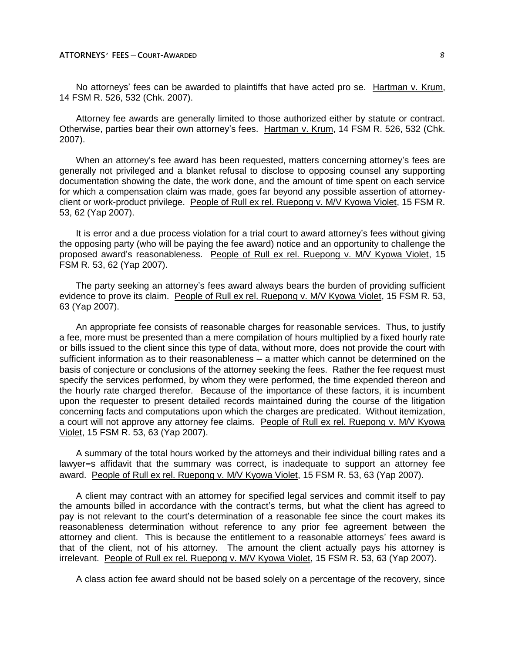No attorneys' fees can be awarded to plaintiffs that have acted pro se. Hartman v. Krum, 14 FSM R. 526, 532 (Chk. 2007).

Attorney fee awards are generally limited to those authorized either by statute or contract. Otherwise, parties bear their own attorney's fees. Hartman v. Krum, 14 FSM R. 526, 532 (Chk. 2007).

When an attorney's fee award has been requested, matters concerning attorney's fees are generally not privileged and a blanket refusal to disclose to opposing counsel any supporting documentation showing the date, the work done, and the amount of time spent on each service for which a compensation claim was made, goes far beyond any possible assertion of attorneyclient or work-product privilege. People of Rull ex rel. Ruepong v. M/V Kyowa Violet, 15 FSM R. 53, 62 (Yap 2007).

It is error and a due process violation for a trial court to award attorney's fees without giving the opposing party (who will be paying the fee award) notice and an opportunity to challenge the proposed award's reasonableness. People of Rull ex rel. Ruepong v. M/V Kyowa Violet, 15 FSM R. 53, 62 (Yap 2007).

The party seeking an attorney's fees award always bears the burden of providing sufficient evidence to prove its claim. People of Rull ex rel. Ruepong v. M/V Kyowa Violet, 15 FSM R. 53, 63 (Yap 2007).

An appropriate fee consists of reasonable charges for reasonable services. Thus, to justify a fee, more must be presented than a mere compilation of hours multiplied by a fixed hourly rate or bills issued to the client since this type of data, without more, does not provide the court with sufficient information as to their reasonableness — a matter which cannot be determined on the basis of conjecture or conclusions of the attorney seeking the fees. Rather the fee request must specify the services performed, by whom they were performed, the time expended thereon and the hourly rate charged therefor. Because of the importance of these factors, it is incumbent upon the requester to present detailed records maintained during the course of the litigation concerning facts and computations upon which the charges are predicated. Without itemization, a court will not approve any attorney fee claims. People of Rull ex rel. Ruepong v. M/V Kyowa Violet, 15 FSM R. 53, 63 (Yap 2007).

A summary of the total hours worked by the attorneys and their individual billing rates and a lawyer=s affidavit that the summary was correct, is inadequate to support an attorney fee award. People of Rull ex rel. Ruepong v. M/V Kyowa Violet, 15 FSM R. 53, 63 (Yap 2007).

A client may contract with an attorney for specified legal services and commit itself to pay the amounts billed in accordance with the contract's terms, but what the client has agreed to pay is not relevant to the court's determination of a reasonable fee since the court makes its reasonableness determination without reference to any prior fee agreement between the attorney and client. This is because the entitlement to a reasonable attorneys' fees award is that of the client, not of his attorney. The amount the client actually pays his attorney is irrelevant. People of Rull ex rel. Ruepong v. M/V Kyowa Violet, 15 FSM R. 53, 63 (Yap 2007).

A class action fee award should not be based solely on a percentage of the recovery, since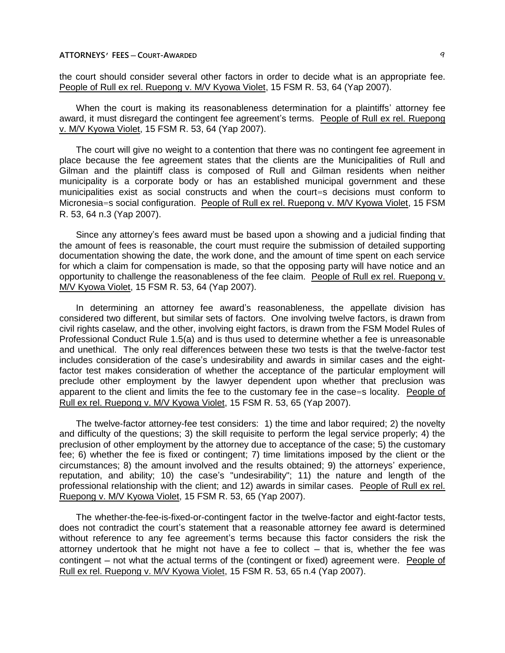the court should consider several other factors in order to decide what is an appropriate fee. People of Rull ex rel. Ruepong v. M/V Kyowa Violet, 15 FSM R. 53, 64 (Yap 2007).

When the court is making its reasonableness determination for a plaintiffs' attorney fee award, it must disregard the contingent fee agreement's terms. People of Rull ex rel. Ruepong v. M/V Kyowa Violet, 15 FSM R. 53, 64 (Yap 2007).

The court will give no weight to a contention that there was no contingent fee agreement in place because the fee agreement states that the clients are the Municipalities of Rull and Gilman and the plaintiff class is composed of Rull and Gilman residents when neither municipality is a corporate body or has an established municipal government and these municipalities exist as social constructs and when the court=s decisions must conform to Micronesia=s social configuration. People of Rull ex rel. Ruepong v. M/V Kyowa Violet, 15 FSM R. 53, 64 n.3 (Yap 2007).

Since any attorney's fees award must be based upon a showing and a judicial finding that the amount of fees is reasonable, the court must require the submission of detailed supporting documentation showing the date, the work done, and the amount of time spent on each service for which a claim for compensation is made, so that the opposing party will have notice and an opportunity to challenge the reasonableness of the fee claim. People of Rull ex rel. Ruepong v. M/V Kyowa Violet, 15 FSM R. 53, 64 (Yap 2007).

In determining an attorney fee award's reasonableness, the appellate division has considered two different, but similar sets of factors. One involving twelve factors, is drawn from civil rights caselaw, and the other, involving eight factors, is drawn from the FSM Model Rules of Professional Conduct Rule 1.5(a) and is thus used to determine whether a fee is unreasonable and unethical. The only real differences between these two tests is that the twelve-factor test includes consideration of the case's undesirability and awards in similar cases and the eightfactor test makes consideration of whether the acceptance of the particular employment will preclude other employment by the lawyer dependent upon whether that preclusion was apparent to the client and limits the fee to the customary fee in the case=s locality. People of Rull ex rel. Ruepong v. M/V Kyowa Violet, 15 FSM R. 53, 65 (Yap 2007).

The twelve-factor attorney-fee test considers: 1) the time and labor required; 2) the novelty and difficulty of the questions; 3) the skill requisite to perform the legal service properly; 4) the preclusion of other employment by the attorney due to acceptance of the case; 5) the customary fee; 6) whether the fee is fixed or contingent; 7) time limitations imposed by the client or the circumstances; 8) the amount involved and the results obtained; 9) the attorneys' experience, reputation, and ability; 10) the case's "undesirability"; 11) the nature and length of the professional relationship with the client; and 12) awards in similar cases. People of Rull ex rel. Ruepong v. M/V Kyowa Violet, 15 FSM R. 53, 65 (Yap 2007).

The whether-the-fee-is-fixed-or-contingent factor in the twelve-factor and eight-factor tests, does not contradict the court's statement that a reasonable attorney fee award is determined without reference to any fee agreement's terms because this factor considers the risk the attorney undertook that he might not have a fee to collect  $-$  that is, whether the fee was contingent – not what the actual terms of the (contingent or fixed) agreement were. People of Rull ex rel. Ruepong v. M/V Kyowa Violet, 15 FSM R. 53, 65 n.4 (Yap 2007).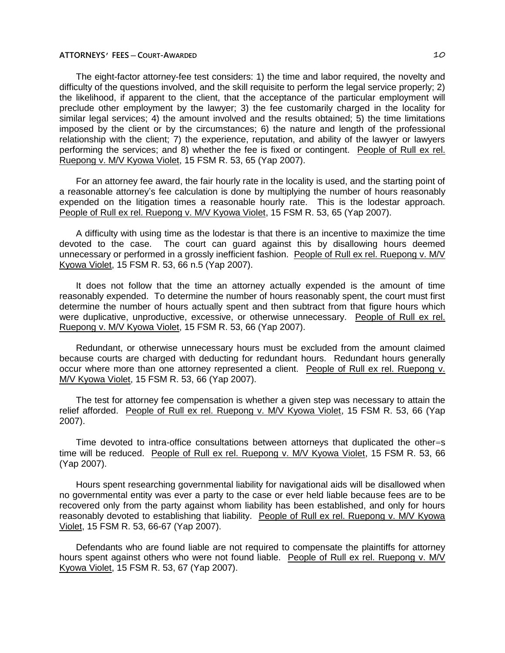The eight-factor attorney-fee test considers: 1) the time and labor required, the novelty and difficulty of the questions involved, and the skill requisite to perform the legal service properly; 2) the likelihood, if apparent to the client, that the acceptance of the particular employment will preclude other employment by the lawyer; 3) the fee customarily charged in the locality for similar legal services; 4) the amount involved and the results obtained; 5) the time limitations imposed by the client or by the circumstances; 6) the nature and length of the professional relationship with the client; 7) the experience, reputation, and ability of the lawyer or lawyers performing the services; and 8) whether the fee is fixed or contingent. People of Rull ex rel. Ruepong v. M/V Kyowa Violet, 15 FSM R. 53, 65 (Yap 2007).

For an attorney fee award, the fair hourly rate in the locality is used, and the starting point of a reasonable attorney's fee calculation is done by multiplying the number of hours reasonably expended on the litigation times a reasonable hourly rate. This is the lodestar approach. People of Rull ex rel. Ruepong v. M/V Kyowa Violet, 15 FSM R. 53, 65 (Yap 2007).

A difficulty with using time as the lodestar is that there is an incentive to maximize the time devoted to the case. The court can guard against this by disallowing hours deemed unnecessary or performed in a grossly inefficient fashion. People of Rull ex rel. Ruepong v. M/V Kyowa Violet, 15 FSM R. 53, 66 n.5 (Yap 2007).

It does not follow that the time an attorney actually expended is the amount of time reasonably expended. To determine the number of hours reasonably spent, the court must first determine the number of hours actually spent and then subtract from that figure hours which were duplicative, unproductive, excessive, or otherwise unnecessary. People of Rull ex rel. Ruepong v. M/V Kyowa Violet, 15 FSM R. 53, 66 (Yap 2007).

Redundant, or otherwise unnecessary hours must be excluded from the amount claimed because courts are charged with deducting for redundant hours. Redundant hours generally occur where more than one attorney represented a client. People of Rull ex rel. Ruepong v. M/V Kyowa Violet, 15 FSM R. 53, 66 (Yap 2007).

The test for attorney fee compensation is whether a given step was necessary to attain the relief afforded. People of Rull ex rel. Ruepong v. M/V Kyowa Violet, 15 FSM R. 53, 66 (Yap 2007).

Time devoted to intra-office consultations between attorneys that duplicated the other=s time will be reduced. People of Rull ex rel. Ruepong v. M/V Kyowa Violet, 15 FSM R. 53, 66 (Yap 2007).

Hours spent researching governmental liability for navigational aids will be disallowed when no governmental entity was ever a party to the case or ever held liable because fees are to be recovered only from the party against whom liability has been established, and only for hours reasonably devoted to establishing that liability. People of Rull ex rel. Ruepong v. M/V Kyowa Violet, 15 FSM R. 53, 66-67 (Yap 2007).

Defendants who are found liable are not required to compensate the plaintiffs for attorney hours spent against others who were not found liable. People of Rull ex rel. Ruepong v. M/V Kyowa Violet, 15 FSM R. 53, 67 (Yap 2007).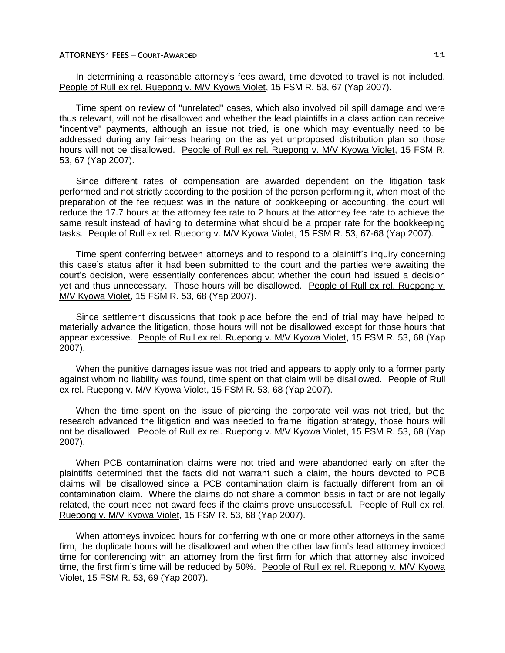In determining a reasonable attorney's fees award, time devoted to travel is not included. People of Rull ex rel. Ruepong v. M/V Kyowa Violet, 15 FSM R. 53, 67 (Yap 2007).

Time spent on review of "unrelated" cases, which also involved oil spill damage and were thus relevant, will not be disallowed and whether the lead plaintiffs in a class action can receive "incentive" payments, although an issue not tried, is one which may eventually need to be addressed during any fairness hearing on the as yet unproposed distribution plan so those hours will not be disallowed. People of Rull ex rel. Ruepong v. M/V Kyowa Violet, 15 FSM R. 53, 67 (Yap 2007).

Since different rates of compensation are awarded dependent on the litigation task performed and not strictly according to the position of the person performing it, when most of the preparation of the fee request was in the nature of bookkeeping or accounting, the court will reduce the 17.7 hours at the attorney fee rate to 2 hours at the attorney fee rate to achieve the same result instead of having to determine what should be a proper rate for the bookkeeping tasks. People of Rull ex rel. Ruepong v. M/V Kyowa Violet, 15 FSM R. 53, 67-68 (Yap 2007).

Time spent conferring between attorneys and to respond to a plaintiff's inquiry concerning this case's status after it had been submitted to the court and the parties were awaiting the court's decision, were essentially conferences about whether the court had issued a decision yet and thus unnecessary. Those hours will be disallowed. People of Rull ex rel. Ruepong v. M/V Kyowa Violet, 15 FSM R. 53, 68 (Yap 2007).

Since settlement discussions that took place before the end of trial may have helped to materially advance the litigation, those hours will not be disallowed except for those hours that appear excessive. People of Rull ex rel. Ruepong v. M/V Kyowa Violet, 15 FSM R. 53, 68 (Yap 2007).

When the punitive damages issue was not tried and appears to apply only to a former party against whom no liability was found, time spent on that claim will be disallowed. People of Rull ex rel. Ruepong v. M/V Kyowa Violet, 15 FSM R. 53, 68 (Yap 2007).

When the time spent on the issue of piercing the corporate veil was not tried, but the research advanced the litigation and was needed to frame litigation strategy, those hours will not be disallowed. People of Rull ex rel. Ruepong v. M/V Kyowa Violet, 15 FSM R. 53, 68 (Yap 2007).

When PCB contamination claims were not tried and were abandoned early on after the plaintiffs determined that the facts did not warrant such a claim, the hours devoted to PCB claims will be disallowed since a PCB contamination claim is factually different from an oil contamination claim. Where the claims do not share a common basis in fact or are not legally related, the court need not award fees if the claims prove unsuccessful. People of Rull ex rel. Ruepong v. M/V Kyowa Violet, 15 FSM R. 53, 68 (Yap 2007).

When attorneys invoiced hours for conferring with one or more other attorneys in the same firm, the duplicate hours will be disallowed and when the other law firm's lead attorney invoiced time for conferencing with an attorney from the first firm for which that attorney also invoiced time, the first firm's time will be reduced by 50%. People of Rull ex rel. Ruepong v. M/V Kvowa Violet, 15 FSM R. 53, 69 (Yap 2007).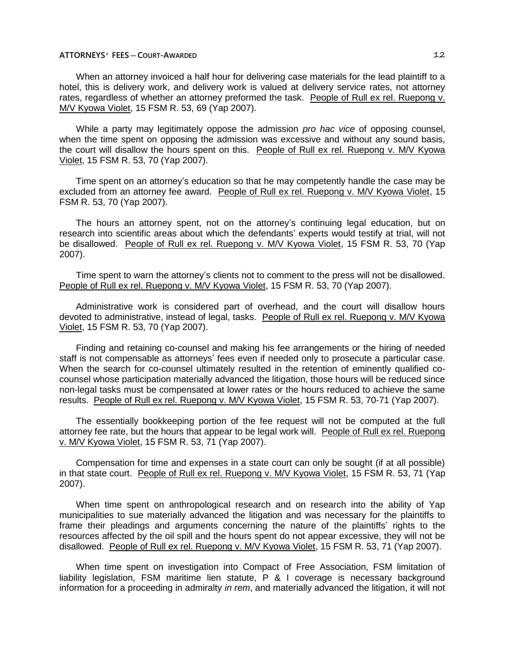When an attorney invoiced a half hour for delivering case materials for the lead plaintiff to a hotel, this is delivery work, and delivery work is valued at delivery service rates, not attorney rates, regardless of whether an attorney preformed the task. People of Rull ex rel. Ruepong v. M/V Kyowa Violet, 15 FSM R. 53, 69 (Yap 2007).

While a party may legitimately oppose the admission *pro hac vice* of opposing counsel, when the time spent on opposing the admission was excessive and without any sound basis, the court will disallow the hours spent on this. People of Rull ex rel. Ruepong v. M/V Kyowa Violet, 15 FSM R. 53, 70 (Yap 2007).

Time spent on an attorney's education so that he may competently handle the case may be excluded from an attorney fee award. People of Rull ex rel. Ruepong v. M/V Kyowa Violet, 15 FSM R. 53, 70 (Yap 2007).

The hours an attorney spent, not on the attorney's continuing legal education, but on research into scientific areas about which the defendants' experts would testify at trial, will not be disallowed. People of Rull ex rel. Ruepong v. M/V Kyowa Violet, 15 FSM R. 53, 70 (Yap 2007).

Time spent to warn the attorney's clients not to comment to the press will not be disallowed. People of Rull ex rel. Ruepong v. M/V Kyowa Violet, 15 FSM R. 53, 70 (Yap 2007).

Administrative work is considered part of overhead, and the court will disallow hours devoted to administrative, instead of legal, tasks. People of Rull ex rel. Ruepong v. M/V Kyowa Violet, 15 FSM R. 53, 70 (Yap 2007).

Finding and retaining co-counsel and making his fee arrangements or the hiring of needed staff is not compensable as attorneys' fees even if needed only to prosecute a particular case. When the search for co-counsel ultimately resulted in the retention of eminently qualified cocounsel whose participation materially advanced the litigation, those hours will be reduced since non-legal tasks must be compensated at lower rates or the hours reduced to achieve the same results. People of Rull ex rel. Ruepong v. M/V Kyowa Violet, 15 FSM R. 53, 70-71 (Yap 2007).

The essentially bookkeeping portion of the fee request will not be computed at the full attorney fee rate, but the hours that appear to be legal work will. People of Rull ex rel. Ruepong v. M/V Kyowa Violet, 15 FSM R. 53, 71 (Yap 2007).

Compensation for time and expenses in a state court can only be sought (if at all possible) in that state court. People of Rull ex rel. Ruepong v. M/V Kyowa Violet, 15 FSM R. 53, 71 (Yap 2007).

When time spent on anthropological research and on research into the ability of Yap municipalities to sue materially advanced the litigation and was necessary for the plaintiffs to frame their pleadings and arguments concerning the nature of the plaintiffs' rights to the resources affected by the oil spill and the hours spent do not appear excessive, they will not be disallowed. People of Rull ex rel. Ruepong v. M/V Kyowa Violet, 15 FSM R. 53, 71 (Yap 2007).

When time spent on investigation into Compact of Free Association, FSM limitation of liability legislation, FSM maritime lien statute, P & I coverage is necessary background information for a proceeding in admiralty *in rem*, and materially advanced the litigation, it will not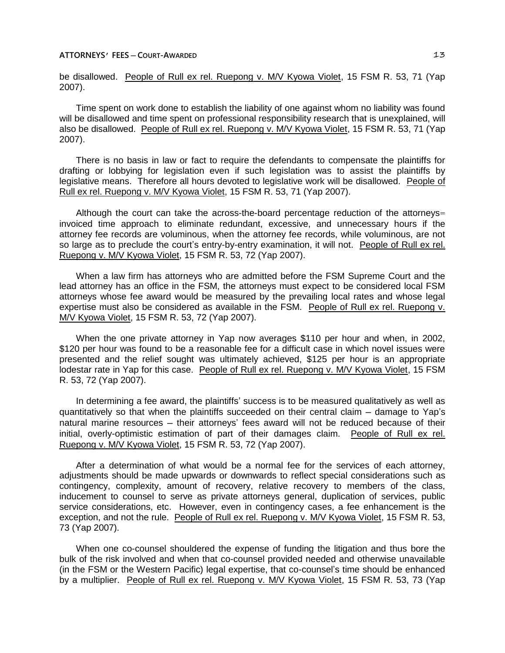be disallowed. People of Rull ex rel. Ruepong v. M/V Kyowa Violet, 15 FSM R. 53, 71 (Yap 2007).

Time spent on work done to establish the liability of one against whom no liability was found will be disallowed and time spent on professional responsibility research that is unexplained, will also be disallowed. People of Rull ex rel. Ruepong v. M/V Kyowa Violet, 15 FSM R. 53, 71 (Yap 2007).

There is no basis in law or fact to require the defendants to compensate the plaintiffs for drafting or lobbying for legislation even if such legislation was to assist the plaintiffs by legislative means. Therefore all hours devoted to legislative work will be disallowed. People of Rull ex rel. Ruepong v. M/V Kyowa Violet, 15 FSM R. 53, 71 (Yap 2007).

Although the court can take the across-the-board percentage reduction of the attorneys= invoiced time approach to eliminate redundant, excessive, and unnecessary hours if the attorney fee records are voluminous, when the attorney fee records, while voluminous, are not so large as to preclude the court's entry-by-entry examination, it will not. People of Rull ex rel. Ruepong v. M/V Kyowa Violet, 15 FSM R. 53, 72 (Yap 2007).

When a law firm has attorneys who are admitted before the FSM Supreme Court and the lead attorney has an office in the FSM, the attorneys must expect to be considered local FSM attorneys whose fee award would be measured by the prevailing local rates and whose legal expertise must also be considered as available in the FSM. People of Rull ex rel. Ruepong v. M/V Kyowa Violet, 15 FSM R. 53, 72 (Yap 2007).

When the one private attorney in Yap now averages \$110 per hour and when, in 2002, \$120 per hour was found to be a reasonable fee for a difficult case in which novel issues were presented and the relief sought was ultimately achieved, \$125 per hour is an appropriate lodestar rate in Yap for this case. People of Rull ex rel. Ruepong v. M/V Kyowa Violet, 15 FSM R. 53, 72 (Yap 2007).

In determining a fee award, the plaintiffs' success is to be measured qualitatively as well as quantitatively so that when the plaintiffs succeeded on their central claim – damage to Yap's natural marine resources — their attorneys' fees award will not be reduced because of their initial, overly-optimistic estimation of part of their damages claim. People of Rull ex rel. Ruepong v. M/V Kyowa Violet, 15 FSM R. 53, 72 (Yap 2007).

After a determination of what would be a normal fee for the services of each attorney, adjustments should be made upwards or downwards to reflect special considerations such as contingency, complexity, amount of recovery, relative recovery to members of the class, inducement to counsel to serve as private attorneys general, duplication of services, public service considerations, etc. However, even in contingency cases, a fee enhancement is the exception, and not the rule. People of Rull ex rel. Ruepong v. M/V Kyowa Violet, 15 FSM R. 53, 73 (Yap 2007).

When one co-counsel shouldered the expense of funding the litigation and thus bore the bulk of the risk involved and when that co-counsel provided needed and otherwise unavailable (in the FSM or the Western Pacific) legal expertise, that co-counsel's time should be enhanced by a multiplier. People of Rull ex rel. Ruepong v. M/V Kyowa Violet, 15 FSM R. 53, 73 (Yap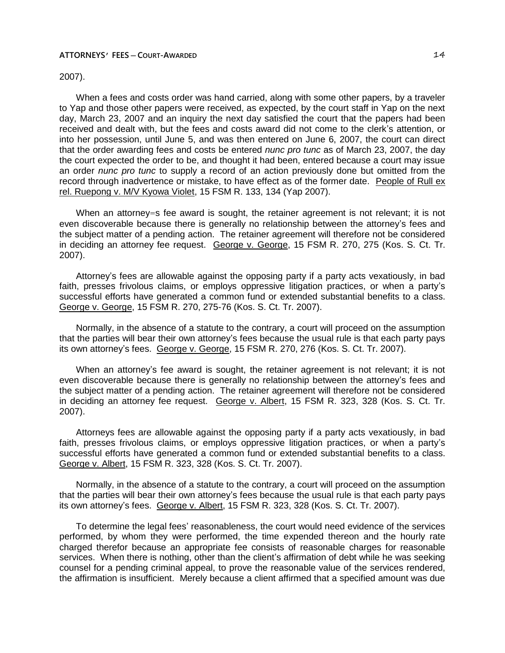# 2007).

When a fees and costs order was hand carried, along with some other papers, by a traveler to Yap and those other papers were received, as expected, by the court staff in Yap on the next day, March 23, 2007 and an inquiry the next day satisfied the court that the papers had been received and dealt with, but the fees and costs award did not come to the clerk's attention, or into her possession, until June 5, and was then entered on June 6, 2007, the court can direct that the order awarding fees and costs be entered *nunc pro tunc* as of March 23, 2007, the day the court expected the order to be, and thought it had been, entered because a court may issue an order *nunc pro tunc* to supply a record of an action previously done but omitted from the record through inadvertence or mistake, to have effect as of the former date. People of Rull ex rel. Ruepong v. M/V Kyowa Violet, 15 FSM R. 133, 134 (Yap 2007).

When an attorney=s fee award is sought, the retainer agreement is not relevant; it is not even discoverable because there is generally no relationship between the attorney's fees and the subject matter of a pending action. The retainer agreement will therefore not be considered in deciding an attorney fee request. George v. George, 15 FSM R. 270, 275 (Kos. S. Ct. Tr. 2007).

Attorney's fees are allowable against the opposing party if a party acts vexatiously, in bad faith, presses frivolous claims, or employs oppressive litigation practices, or when a party's successful efforts have generated a common fund or extended substantial benefits to a class. George v. George, 15 FSM R. 270, 275-76 (Kos. S. Ct. Tr. 2007).

Normally, in the absence of a statute to the contrary, a court will proceed on the assumption that the parties will bear their own attorney's fees because the usual rule is that each party pays its own attorney's fees. George v. George, 15 FSM R. 270, 276 (Kos. S. Ct. Tr. 2007).

When an attorney's fee award is sought, the retainer agreement is not relevant; it is not even discoverable because there is generally no relationship between the attorney's fees and the subject matter of a pending action. The retainer agreement will therefore not be considered in deciding an attorney fee request. George v. Albert, 15 FSM R. 323, 328 (Kos. S. Ct. Tr. 2007).

Attorneys fees are allowable against the opposing party if a party acts vexatiously, in bad faith, presses frivolous claims, or employs oppressive litigation practices, or when a party's successful efforts have generated a common fund or extended substantial benefits to a class. George v. Albert, 15 FSM R. 323, 328 (Kos. S. Ct. Tr. 2007).

Normally, in the absence of a statute to the contrary, a court will proceed on the assumption that the parties will bear their own attorney's fees because the usual rule is that each party pays its own attorney's fees. George v. Albert, 15 FSM R. 323, 328 (Kos. S. Ct. Tr. 2007).

To determine the legal fees' reasonableness, the court would need evidence of the services performed, by whom they were performed, the time expended thereon and the hourly rate charged therefor because an appropriate fee consists of reasonable charges for reasonable services. When there is nothing, other than the client's affirmation of debt while he was seeking counsel for a pending criminal appeal, to prove the reasonable value of the services rendered, the affirmation is insufficient. Merely because a client affirmed that a specified amount was due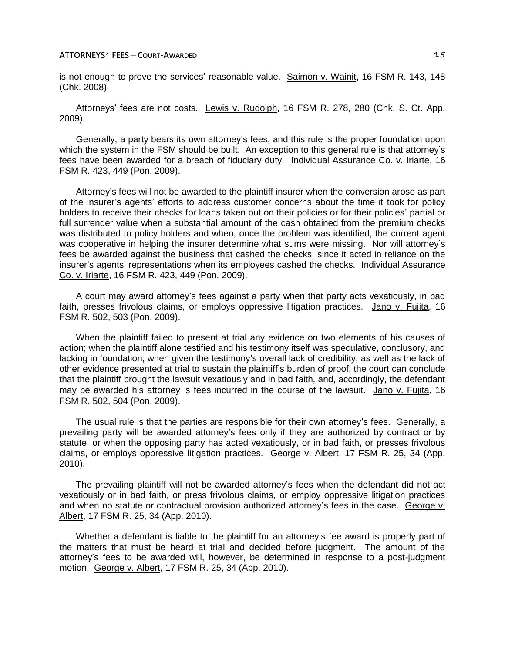is not enough to prove the services' reasonable value. Saimon v. Wainit, 16 FSM R. 143, 148 (Chk. 2008).

Attorneys' fees are not costs. Lewis v. Rudolph, 16 FSM R. 278, 280 (Chk. S. Ct. App. 2009).

Generally, a party bears its own attorney's fees, and this rule is the proper foundation upon which the system in the FSM should be built. An exception to this general rule is that attorney's fees have been awarded for a breach of fiduciary duty. Individual Assurance Co. v. Iriarte, 16 FSM R. 423, 449 (Pon. 2009).

Attorney's fees will not be awarded to the plaintiff insurer when the conversion arose as part of the insurer's agents' efforts to address customer concerns about the time it took for policy holders to receive their checks for loans taken out on their policies or for their policies' partial or full surrender value when a substantial amount of the cash obtained from the premium checks was distributed to policy holders and when, once the problem was identified, the current agent was cooperative in helping the insurer determine what sums were missing. Nor will attorney's fees be awarded against the business that cashed the checks, since it acted in reliance on the insurer's agents' representations when its employees cashed the checks. Individual Assurance Co. v. Iriarte, 16 FSM R. 423, 449 (Pon. 2009).

A court may award attorney's fees against a party when that party acts vexatiously, in bad faith, presses frivolous claims, or employs oppressive litigation practices. Jano v. Fujita, 16 FSM R. 502, 503 (Pon. 2009).

When the plaintiff failed to present at trial any evidence on two elements of his causes of action; when the plaintiff alone testified and his testimony itself was speculative, conclusory, and lacking in foundation; when given the testimony's overall lack of credibility, as well as the lack of other evidence presented at trial to sustain the plaintiff's burden of proof, the court can conclude that the plaintiff brought the lawsuit vexatiously and in bad faith, and, accordingly, the defendant may be awarded his attorney=s fees incurred in the course of the lawsuit. Jano v. Fujita, 16 FSM R. 502, 504 (Pon. 2009).

The usual rule is that the parties are responsible for their own attorney's fees. Generally, a prevailing party will be awarded attorney's fees only if they are authorized by contract or by statute, or when the opposing party has acted vexatiously, or in bad faith, or presses frivolous claims, or employs oppressive litigation practices. George v. Albert, 17 FSM R. 25, 34 (App. 2010).

The prevailing plaintiff will not be awarded attorney's fees when the defendant did not act vexatiously or in bad faith, or press frivolous claims, or employ oppressive litigation practices and when no statute or contractual provision authorized attorney's fees in the case. George v. Albert, 17 FSM R. 25, 34 (App. 2010).

Whether a defendant is liable to the plaintiff for an attorney's fee award is properly part of the matters that must be heard at trial and decided before judgment. The amount of the attorney's fees to be awarded will, however, be determined in response to a post-judgment motion. George v. Albert, 17 FSM R. 25, 34 (App. 2010).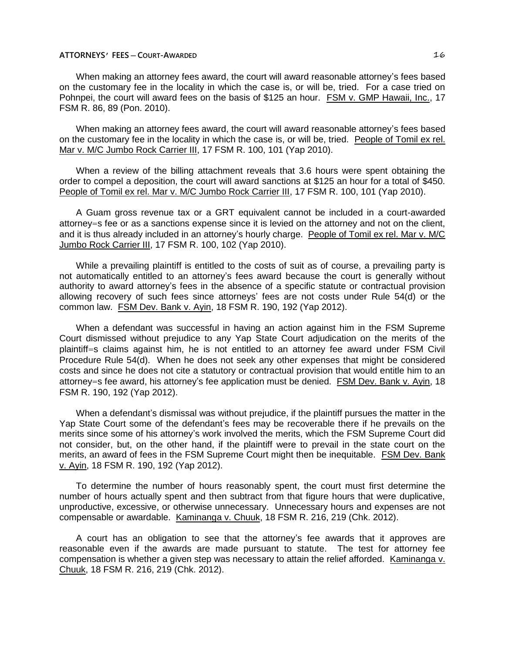When making an attorney fees award, the court will award reasonable attorney's fees based on the customary fee in the locality in which the case is, or will be, tried. For a case tried on Pohnpei, the court will award fees on the basis of \$125 an hour. FSM v. GMP Hawaii, Inc., 17 FSM R. 86, 89 (Pon. 2010).

When making an attorney fees award, the court will award reasonable attorney's fees based on the customary fee in the locality in which the case is, or will be, tried. People of Tomil ex rel. Mar v. M/C Jumbo Rock Carrier III, 17 FSM R. 100, 101 (Yap 2010).

When a review of the billing attachment reveals that 3.6 hours were spent obtaining the order to compel a deposition, the court will award sanctions at \$125 an hour for a total of \$450. People of Tomil ex rel. Mar v. M/C Jumbo Rock Carrier III, 17 FSM R. 100, 101 (Yap 2010).

A Guam gross revenue tax or a GRT equivalent cannot be included in a court-awarded attorney=s fee or as a sanctions expense since it is levied on the attorney and not on the client, and it is thus already included in an attorney's hourly charge. People of Tomil ex rel. Mar v. M/C Jumbo Rock Carrier III, 17 FSM R. 100, 102 (Yap 2010).

While a prevailing plaintiff is entitled to the costs of suit as of course, a prevailing party is not automatically entitled to an attorney's fees award because the court is generally without authority to award attorney's fees in the absence of a specific statute or contractual provision allowing recovery of such fees since attorneys' fees are not costs under Rule 54(d) or the common law. FSM Dev. Bank v. Ayin, 18 FSM R. 190, 192 (Yap 2012).

When a defendant was successful in having an action against him in the FSM Supreme Court dismissed without prejudice to any Yap State Court adjudication on the merits of the plaintiff=s claims against him, he is not entitled to an attorney fee award under FSM Civil Procedure Rule 54(d). When he does not seek any other expenses that might be considered costs and since he does not cite a statutory or contractual provision that would entitle him to an attorney=s fee award, his attorney's fee application must be denied. FSM Dev. Bank v. Ayin, 18 FSM R. 190, 192 (Yap 2012).

When a defendant's dismissal was without prejudice, if the plaintiff pursues the matter in the Yap State Court some of the defendant's fees may be recoverable there if he prevails on the merits since some of his attorney's work involved the merits, which the FSM Supreme Court did not consider, but, on the other hand, if the plaintiff were to prevail in the state court on the merits, an award of fees in the FSM Supreme Court might then be inequitable. FSM Dev. Bank v. Ayin, 18 FSM R. 190, 192 (Yap 2012).

To determine the number of hours reasonably spent, the court must first determine the number of hours actually spent and then subtract from that figure hours that were duplicative, unproductive, excessive, or otherwise unnecessary. Unnecessary hours and expenses are not compensable or awardable. Kaminanga v. Chuuk, 18 FSM R. 216, 219 (Chk. 2012).

A court has an obligation to see that the attorney's fee awards that it approves are reasonable even if the awards are made pursuant to statute. The test for attorney fee compensation is whether a given step was necessary to attain the relief afforded. Kaminanga v. Chuuk, 18 FSM R. 216, 219 (Chk. 2012).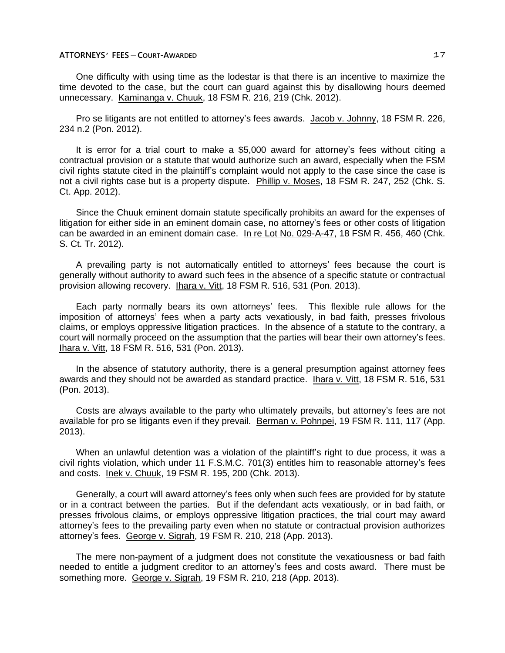One difficulty with using time as the lodestar is that there is an incentive to maximize the time devoted to the case, but the court can guard against this by disallowing hours deemed unnecessary. Kaminanga v. Chuuk, 18 FSM R. 216, 219 (Chk. 2012).

Pro se litigants are not entitled to attorney's fees awards. Jacob v. Johnny, 18 FSM R. 226, 234 n.2 (Pon. 2012).

It is error for a trial court to make a \$5,000 award for attorney's fees without citing a contractual provision or a statute that would authorize such an award, especially when the FSM civil rights statute cited in the plaintiff's complaint would not apply to the case since the case is not a civil rights case but is a property dispute. Phillip v. Moses, 18 FSM R. 247, 252 (Chk. S. Ct. App. 2012).

Since the Chuuk eminent domain statute specifically prohibits an award for the expenses of litigation for either side in an eminent domain case, no attorney's fees or other costs of litigation can be awarded in an eminent domain case. In re Lot No. 029-A-47, 18 FSM R. 456, 460 (Chk. S. Ct. Tr. 2012).

A prevailing party is not automatically entitled to attorneys' fees because the court is generally without authority to award such fees in the absence of a specific statute or contractual provision allowing recovery. Ihara v. Vitt, 18 FSM R. 516, 531 (Pon. 2013).

Each party normally bears its own attorneys' fees. This flexible rule allows for the imposition of attorneys' fees when a party acts vexatiously, in bad faith, presses frivolous claims, or employs oppressive litigation practices. In the absence of a statute to the contrary, a court will normally proceed on the assumption that the parties will bear their own attorney's fees. Ihara v. Vitt, 18 FSM R. 516, 531 (Pon. 2013).

In the absence of statutory authority, there is a general presumption against attorney fees awards and they should not be awarded as standard practice. Ihara v. Vitt, 18 FSM R. 516, 531 (Pon. 2013).

Costs are always available to the party who ultimately prevails, but attorney's fees are not available for pro se litigants even if they prevail. Berman v. Pohnpei, 19 FSM R. 111, 117 (App. 2013).

When an unlawful detention was a violation of the plaintiff's right to due process, it was a civil rights violation, which under 11 F.S.M.C. 701(3) entitles him to reasonable attorney's fees and costs. Inek v. Chuuk, 19 FSM R. 195, 200 (Chk. 2013).

Generally, a court will award attorney's fees only when such fees are provided for by statute or in a contract between the parties. But if the defendant acts vexatiously, or in bad faith, or presses frivolous claims, or employs oppressive litigation practices, the trial court may award attorney's fees to the prevailing party even when no statute or contractual provision authorizes attorney's fees. George v. Sigrah, 19 FSM R. 210, 218 (App. 2013).

The mere non-payment of a judgment does not constitute the vexatiousness or bad faith needed to entitle a judgment creditor to an attorney's fees and costs award. There must be something more. George v. Sigrah, 19 FSM R. 210, 218 (App. 2013).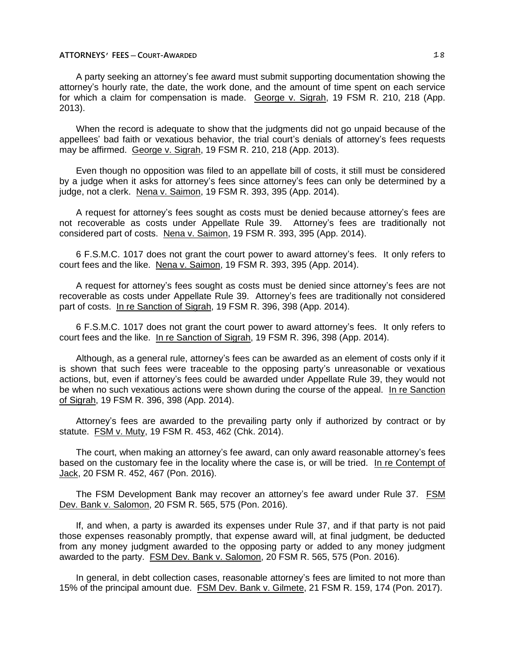A party seeking an attorney's fee award must submit supporting documentation showing the attorney's hourly rate, the date, the work done, and the amount of time spent on each service for which a claim for compensation is made. George v. Sigrah, 19 FSM R. 210, 218 (App. 2013).

When the record is adequate to show that the judgments did not go unpaid because of the appellees' bad faith or vexatious behavior, the trial court's denials of attorney's fees requests may be affirmed. George v. Sigrah, 19 FSM R. 210, 218 (App. 2013).

Even though no opposition was filed to an appellate bill of costs, it still must be considered by a judge when it asks for attorney's fees since attorney's fees can only be determined by a judge, not a clerk. Nena v. Saimon, 19 FSM R. 393, 395 (App. 2014).

A request for attorney's fees sought as costs must be denied because attorney's fees are not recoverable as costs under Appellate Rule 39. Attorney's fees are traditionally not considered part of costs. Nena v. Saimon, 19 FSM R. 393, 395 (App. 2014).

6 F.S.M.C. 1017 does not grant the court power to award attorney's fees. It only refers to court fees and the like. Nena v. Saimon, 19 FSM R. 393, 395 (App. 2014).

A request for attorney's fees sought as costs must be denied since attorney's fees are not recoverable as costs under Appellate Rule 39. Attorney's fees are traditionally not considered part of costs. In re Sanction of Sigrah, 19 FSM R. 396, 398 (App. 2014).

6 F.S.M.C. 1017 does not grant the court power to award attorney's fees. It only refers to court fees and the like. In re Sanction of Sigrah, 19 FSM R. 396, 398 (App. 2014).

Although, as a general rule, attorney's fees can be awarded as an element of costs only if it is shown that such fees were traceable to the opposing party's unreasonable or vexatious actions, but, even if attorney's fees could be awarded under Appellate Rule 39, they would not be when no such vexatious actions were shown during the course of the appeal. In re Sanction of Sigrah, 19 FSM R. 396, 398 (App. 2014).

Attorney's fees are awarded to the prevailing party only if authorized by contract or by statute. FSM v. Muty, 19 FSM R. 453, 462 (Chk. 2014).

The court, when making an attorney's fee award, can only award reasonable attorney's fees based on the customary fee in the locality where the case is, or will be tried. In re Contempt of Jack, 20 FSM R. 452, 467 (Pon. 2016).

The FSM Development Bank may recover an attorney's fee award under Rule 37. FSM Dev. Bank v. Salomon, 20 FSM R. 565, 575 (Pon. 2016).

If, and when, a party is awarded its expenses under Rule 37, and if that party is not paid those expenses reasonably promptly, that expense award will, at final judgment, be deducted from any money judgment awarded to the opposing party or added to any money judgment awarded to the party. FSM Dev. Bank v. Salomon, 20 FSM R. 565, 575 (Pon. 2016).

In general, in debt collection cases, reasonable attorney's fees are limited to not more than 15% of the principal amount due. FSM Dev. Bank v. Gilmete, 21 FSM R. 159, 174 (Pon. 2017).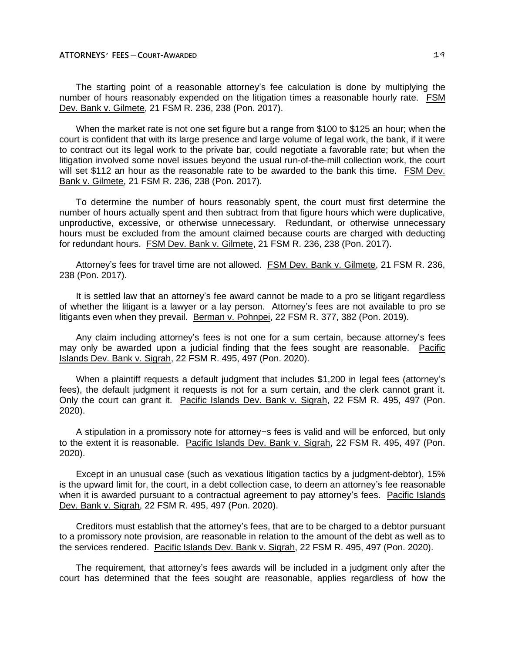The starting point of a reasonable attorney's fee calculation is done by multiplying the number of hours reasonably expended on the litigation times a reasonable hourly rate. FSM Dev. Bank v. Gilmete, 21 FSM R. 236, 238 (Pon. 2017).

When the market rate is not one set figure but a range from \$100 to \$125 an hour; when the court is confident that with its large presence and large volume of legal work, the bank, if it were to contract out its legal work to the private bar, could negotiate a favorable rate; but when the litigation involved some novel issues beyond the usual run-of-the-mill collection work, the court will set \$112 an hour as the reasonable rate to be awarded to the bank this time. FSM Dev. Bank v. Gilmete, 21 FSM R. 236, 238 (Pon. 2017).

To determine the number of hours reasonably spent, the court must first determine the number of hours actually spent and then subtract from that figure hours which were duplicative, unproductive, excessive, or otherwise unnecessary. Redundant, or otherwise unnecessary hours must be excluded from the amount claimed because courts are charged with deducting for redundant hours. FSM Dev. Bank v. Gilmete, 21 FSM R. 236, 238 (Pon. 2017).

Attorney's fees for travel time are not allowed. FSM Dev. Bank v. Gilmete, 21 FSM R. 236, 238 (Pon. 2017).

It is settled law that an attorney's fee award cannot be made to a pro se litigant regardless of whether the litigant is a lawyer or a lay person. Attorney's fees are not available to pro se litigants even when they prevail. Berman v. Pohnpei, 22 FSM R. 377, 382 (Pon. 2019).

Any claim including attorney's fees is not one for a sum certain, because attorney's fees may only be awarded upon a judicial finding that the fees sought are reasonable. Pacific Islands Dev. Bank v. Sigrah, 22 FSM R. 495, 497 (Pon. 2020).

When a plaintiff requests a default judgment that includes \$1,200 in legal fees (attorney's fees), the default judgment it requests is not for a sum certain, and the clerk cannot grant it. Only the court can grant it. Pacific Islands Dev. Bank v. Sigrah, 22 FSM R. 495, 497 (Pon. 2020).

A stipulation in a promissory note for attorney=s fees is valid and will be enforced, but only to the extent it is reasonable. Pacific Islands Dev. Bank v. Sigrah, 22 FSM R. 495, 497 (Pon. 2020).

Except in an unusual case (such as vexatious litigation tactics by a judgment-debtor), 15% is the upward limit for, the court, in a debt collection case, to deem an attorney's fee reasonable when it is awarded pursuant to a contractual agreement to pay attorney's fees. Pacific Islands Dev. Bank v. Sigrah, 22 FSM R. 495, 497 (Pon. 2020).

Creditors must establish that the attorney's fees, that are to be charged to a debtor pursuant to a promissory note provision, are reasonable in relation to the amount of the debt as well as to the services rendered. Pacific Islands Dev. Bank v. Sigrah, 22 FSM R. 495, 497 (Pon. 2020).

The requirement, that attorney's fees awards will be included in a judgment only after the court has determined that the fees sought are reasonable, applies regardless of how the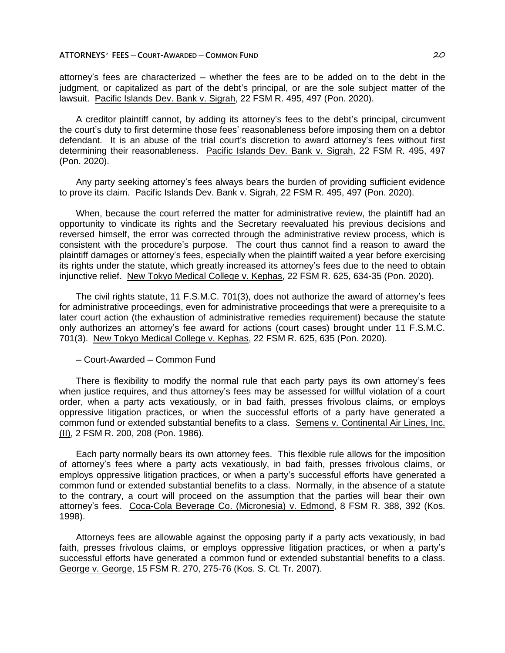attorney's fees are characterized – whether the fees are to be added on to the debt in the judgment, or capitalized as part of the debt's principal, or are the sole subject matter of the lawsuit. Pacific Islands Dev. Bank v. Sigrah, 22 FSM R. 495, 497 (Pon. 2020).

A creditor plaintiff cannot, by adding its attorney's fees to the debt's principal, circumvent the court's duty to first determine those fees' reasonableness before imposing them on a debtor defendant. It is an abuse of the trial court's discretion to award attorney's fees without first determining their reasonableness. Pacific Islands Dev. Bank v. Sigrah, 22 FSM R. 495, 497 (Pon. 2020).

Any party seeking attorney's fees always bears the burden of providing sufficient evidence to prove its claim. Pacific Islands Dev. Bank v. Sigrah, 22 FSM R. 495, 497 (Pon. 2020).

When, because the court referred the matter for administrative review, the plaintiff had an opportunity to vindicate its rights and the Secretary reevaluated his previous decisions and reversed himself, the error was corrected through the administrative review process, which is consistent with the procedure's purpose. The court thus cannot find a reason to award the plaintiff damages or attorney's fees, especially when the plaintiff waited a year before exercising its rights under the statute, which greatly increased its attorney's fees due to the need to obtain injunctive relief. New Tokyo Medical College v. Kephas, 22 FSM R. 625, 634-35 (Pon. 2020).

The civil rights statute, 11 F.S.M.C. 701(3), does not authorize the award of attorney's fees for administrative proceedings, even for administrative proceedings that were a prerequisite to a later court action (the exhaustion of administrative remedies requirement) because the statute only authorizes an attorney's fee award for actions (court cases) brought under 11 F.S.M.C. 701(3). New Tokyo Medical College v. Kephas, 22 FSM R. 625, 635 (Pon. 2020).

─ Court-Awarded ─ Common Fund

There is flexibility to modify the normal rule that each party pays its own attorney's fees when justice requires, and thus attorney's fees may be assessed for willful violation of a court order, when a party acts vexatiously, or in bad faith, presses frivolous claims, or employs oppressive litigation practices, or when the successful efforts of a party have generated a common fund or extended substantial benefits to a class. Semens v. Continental Air Lines, Inc. (II), 2 FSM R. 200, 208 (Pon. 1986).

Each party normally bears its own attorney fees. This flexible rule allows for the imposition of attorney's fees where a party acts vexatiously, in bad faith, presses frivolous claims, or employs oppressive litigation practices, or when a party's successful efforts have generated a common fund or extended substantial benefits to a class. Normally, in the absence of a statute to the contrary, a court will proceed on the assumption that the parties will bear their own attorney's fees. Coca-Cola Beverage Co. (Micronesia) v. Edmond, 8 FSM R. 388, 392 (Kos. 1998).

Attorneys fees are allowable against the opposing party if a party acts vexatiously, in bad faith, presses frivolous claims, or employs oppressive litigation practices, or when a party's successful efforts have generated a common fund or extended substantial benefits to a class. George v. George, 15 FSM R. 270, 275-76 (Kos. S. Ct. Tr. 2007).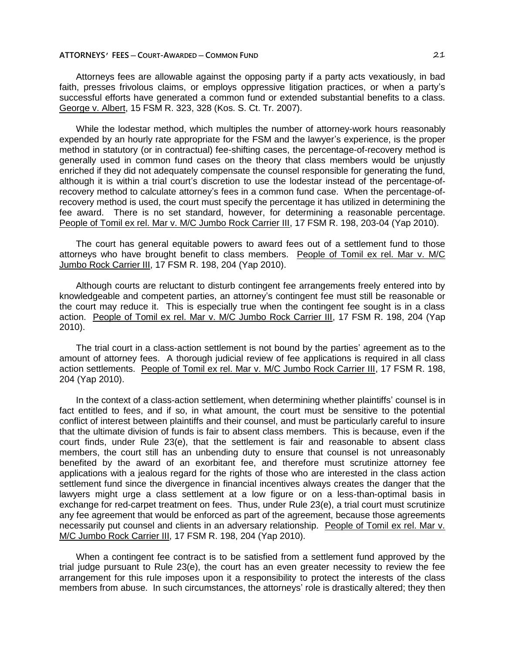# **ATTORNEYS' FEES ─ COURT-AWARDED ─ COMMON FUND** 21

Attorneys fees are allowable against the opposing party if a party acts vexatiously, in bad faith, presses frivolous claims, or employs oppressive litigation practices, or when a party's successful efforts have generated a common fund or extended substantial benefits to a class. George v. Albert, 15 FSM R. 323, 328 (Kos. S. Ct. Tr. 2007).

While the lodestar method, which multiples the number of attorney-work hours reasonably expended by an hourly rate appropriate for the FSM and the lawyer's experience, is the proper method in statutory (or in contractual) fee-shifting cases, the percentage-of-recovery method is generally used in common fund cases on the theory that class members would be unjustly enriched if they did not adequately compensate the counsel responsible for generating the fund, although it is within a trial court's discretion to use the lodestar instead of the percentage-ofrecovery method to calculate attorney's fees in a common fund case. When the percentage-ofrecovery method is used, the court must specify the percentage it has utilized in determining the fee award. There is no set standard, however, for determining a reasonable percentage. People of Tomil ex rel. Mar v. M/C Jumbo Rock Carrier III, 17 FSM R. 198, 203-04 (Yap 2010).

The court has general equitable powers to award fees out of a settlement fund to those attorneys who have brought benefit to class members. People of Tomil ex rel. Mar v. M/C Jumbo Rock Carrier III, 17 FSM R. 198, 204 (Yap 2010).

Although courts are reluctant to disturb contingent fee arrangements freely entered into by knowledgeable and competent parties, an attorney's contingent fee must still be reasonable or the court may reduce it. This is especially true when the contingent fee sought is in a class action. People of Tomil ex rel. Mar v. M/C Jumbo Rock Carrier III, 17 FSM R. 198, 204 (Yap 2010).

The trial court in a class-action settlement is not bound by the parties' agreement as to the amount of attorney fees. A thorough judicial review of fee applications is required in all class action settlements. People of Tomil ex rel. Mar v. M/C Jumbo Rock Carrier III, 17 FSM R. 198, 204 (Yap 2010).

In the context of a class-action settlement, when determining whether plaintiffs' counsel is in fact entitled to fees, and if so, in what amount, the court must be sensitive to the potential conflict of interest between plaintiffs and their counsel, and must be particularly careful to insure that the ultimate division of funds is fair to absent class members. This is because, even if the court finds, under Rule 23(e), that the settlement is fair and reasonable to absent class members, the court still has an unbending duty to ensure that counsel is not unreasonably benefited by the award of an exorbitant fee, and therefore must scrutinize attorney fee applications with a jealous regard for the rights of those who are interested in the class action settlement fund since the divergence in financial incentives always creates the danger that the lawyers might urge a class settlement at a low figure or on a less-than-optimal basis in exchange for red-carpet treatment on fees. Thus, under Rule 23(e), a trial court must scrutinize any fee agreement that would be enforced as part of the agreement, because those agreements necessarily put counsel and clients in an adversary relationship. People of Tomil ex rel. Mar v. M/C Jumbo Rock Carrier III, 17 FSM R. 198, 204 (Yap 2010).

When a contingent fee contract is to be satisfied from a settlement fund approved by the trial judge pursuant to Rule 23(e), the court has an even greater necessity to review the fee arrangement for this rule imposes upon it a responsibility to protect the interests of the class members from abuse. In such circumstances, the attorneys' role is drastically altered; they then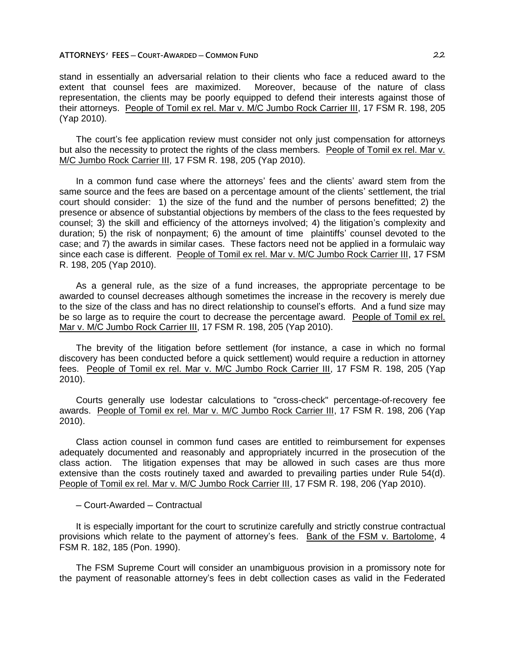# **ATTORNEYS' FEES ─ COURT-AWARDED ─ COMMON FUND** 22

stand in essentially an adversarial relation to their clients who face a reduced award to the extent that counsel fees are maximized. Moreover, because of the nature of class representation, the clients may be poorly equipped to defend their interests against those of their attorneys. People of Tomil ex rel. Mar v. M/C Jumbo Rock Carrier III, 17 FSM R. 198, 205 (Yap 2010).

The court's fee application review must consider not only just compensation for attorneys but also the necessity to protect the rights of the class members. People of Tomil ex rel. Mar v. M/C Jumbo Rock Carrier III, 17 FSM R. 198, 205 (Yap 2010).

In a common fund case where the attorneys' fees and the clients' award stem from the same source and the fees are based on a percentage amount of the clients' settlement, the trial court should consider: 1) the size of the fund and the number of persons benefitted; 2) the presence or absence of substantial objections by members of the class to the fees requested by counsel; 3) the skill and efficiency of the attorneys involved; 4) the litigation's complexity and duration; 5) the risk of nonpayment; 6) the amount of time plaintiffs' counsel devoted to the case; and 7) the awards in similar cases. These factors need not be applied in a formulaic way since each case is different. People of Tomil ex rel. Mar v. M/C Jumbo Rock Carrier III, 17 FSM R. 198, 205 (Yap 2010).

As a general rule, as the size of a fund increases, the appropriate percentage to be awarded to counsel decreases although sometimes the increase in the recovery is merely due to the size of the class and has no direct relationship to counsel's efforts. And a fund size may be so large as to require the court to decrease the percentage award. People of Tomil ex rel. Mar v. M/C Jumbo Rock Carrier III, 17 FSM R. 198, 205 (Yap 2010).

The brevity of the litigation before settlement (for instance, a case in which no formal discovery has been conducted before a quick settlement) would require a reduction in attorney fees. People of Tomil ex rel. Mar v. M/C Jumbo Rock Carrier III, 17 FSM R. 198, 205 (Yap 2010).

Courts generally use lodestar calculations to "cross-check" percentage-of-recovery fee awards. People of Tomil ex rel. Mar v. M/C Jumbo Rock Carrier III, 17 FSM R. 198, 206 (Yap 2010).

Class action counsel in common fund cases are entitled to reimbursement for expenses adequately documented and reasonably and appropriately incurred in the prosecution of the class action. The litigation expenses that may be allowed in such cases are thus more extensive than the costs routinely taxed and awarded to prevailing parties under Rule 54(d). People of Tomil ex rel. Mar v. M/C Jumbo Rock Carrier III, 17 FSM R. 198, 206 (Yap 2010).

─ Court-Awarded ─ Contractual

It is especially important for the court to scrutinize carefully and strictly construe contractual provisions which relate to the payment of attorney's fees. Bank of the FSM v. Bartolome, 4 FSM R. 182, 185 (Pon. 1990).

The FSM Supreme Court will consider an unambiguous provision in a promissory note for the payment of reasonable attorney's fees in debt collection cases as valid in the Federated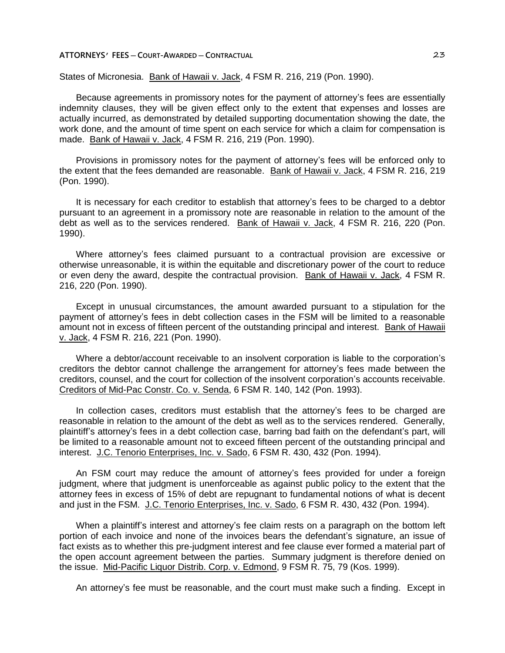States of Micronesia. Bank of Hawaii v. Jack, 4 FSM R. 216, 219 (Pon. 1990).

Because agreements in promissory notes for the payment of attorney's fees are essentially indemnity clauses, they will be given effect only to the extent that expenses and losses are actually incurred, as demonstrated by detailed supporting documentation showing the date, the work done, and the amount of time spent on each service for which a claim for compensation is made. Bank of Hawaii v. Jack, 4 FSM R. 216, 219 (Pon. 1990).

Provisions in promissory notes for the payment of attorney's fees will be enforced only to the extent that the fees demanded are reasonable. Bank of Hawaii v. Jack, 4 FSM R. 216, 219 (Pon. 1990).

It is necessary for each creditor to establish that attorney's fees to be charged to a debtor pursuant to an agreement in a promissory note are reasonable in relation to the amount of the debt as well as to the services rendered. Bank of Hawaii v. Jack, 4 FSM R. 216, 220 (Pon. 1990).

Where attorney's fees claimed pursuant to a contractual provision are excessive or otherwise unreasonable, it is within the equitable and discretionary power of the court to reduce or even deny the award, despite the contractual provision. Bank of Hawaii v. Jack, 4 FSM R. 216, 220 (Pon. 1990).

Except in unusual circumstances, the amount awarded pursuant to a stipulation for the payment of attorney's fees in debt collection cases in the FSM will be limited to a reasonable amount not in excess of fifteen percent of the outstanding principal and interest. Bank of Hawaii v. Jack, 4 FSM R. 216, 221 (Pon. 1990).

Where a debtor/account receivable to an insolvent corporation is liable to the corporation's creditors the debtor cannot challenge the arrangement for attorney's fees made between the creditors, counsel, and the court for collection of the insolvent corporation's accounts receivable. Creditors of Mid-Pac Constr. Co. v. Senda, 6 FSM R. 140, 142 (Pon. 1993).

In collection cases, creditors must establish that the attorney's fees to be charged are reasonable in relation to the amount of the debt as well as to the services rendered. Generally, plaintiff's attorney's fees in a debt collection case, barring bad faith on the defendant's part, will be limited to a reasonable amount not to exceed fifteen percent of the outstanding principal and interest. J.C. Tenorio Enterprises, Inc. v. Sado, 6 FSM R. 430, 432 (Pon. 1994).

An FSM court may reduce the amount of attorney's fees provided for under a foreign judgment, where that judgment is unenforceable as against public policy to the extent that the attorney fees in excess of 15% of debt are repugnant to fundamental notions of what is decent and just in the FSM. J.C. Tenorio Enterprises, Inc. v. Sado, 6 FSM R. 430, 432 (Pon. 1994).

When a plaintiff's interest and attorney's fee claim rests on a paragraph on the bottom left portion of each invoice and none of the invoices bears the defendant's signature, an issue of fact exists as to whether this pre-judgment interest and fee clause ever formed a material part of the open account agreement between the parties. Summary judgment is therefore denied on the issue. Mid-Pacific Liquor Distrib. Corp. v. Edmond, 9 FSM R. 75, 79 (Kos. 1999).

An attorney's fee must be reasonable, and the court must make such a finding. Except in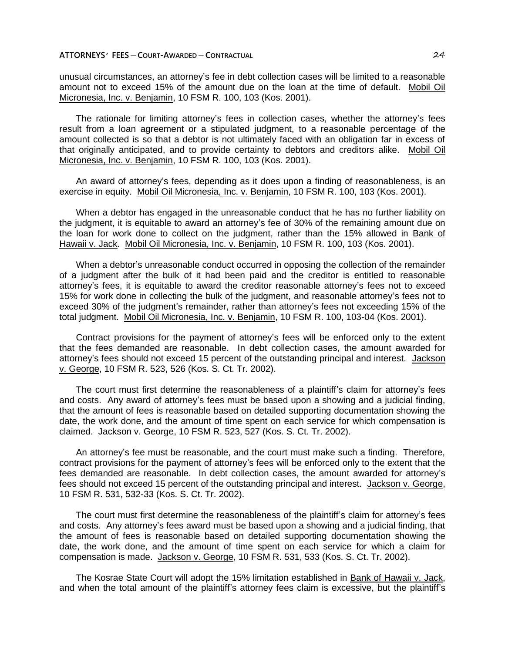unusual circumstances, an attorney's fee in debt collection cases will be limited to a reasonable amount not to exceed 15% of the amount due on the loan at the time of default. Mobil Oil Micronesia, Inc. v. Benjamin, 10 FSM R. 100, 103 (Kos. 2001).

The rationale for limiting attorney's fees in collection cases, whether the attorney's fees result from a loan agreement or a stipulated judgment, to a reasonable percentage of the amount collected is so that a debtor is not ultimately faced with an obligation far in excess of that originally anticipated, and to provide certainty to debtors and creditors alike. Mobil Oil Micronesia, Inc. v. Benjamin, 10 FSM R. 100, 103 (Kos. 2001).

An award of attorney's fees, depending as it does upon a finding of reasonableness, is an exercise in equity. Mobil Oil Micronesia, Inc. v. Benjamin, 10 FSM R. 100, 103 (Kos. 2001).

When a debtor has engaged in the unreasonable conduct that he has no further liability on the judgment, it is equitable to award an attorney's fee of 30% of the remaining amount due on the loan for work done to collect on the judgment, rather than the 15% allowed in Bank of Hawaii v. Jack. Mobil Oil Micronesia, Inc. v. Benjamin, 10 FSM R. 100, 103 (Kos. 2001).

When a debtor's unreasonable conduct occurred in opposing the collection of the remainder of a judgment after the bulk of it had been paid and the creditor is entitled to reasonable attorney's fees, it is equitable to award the creditor reasonable attorney's fees not to exceed 15% for work done in collecting the bulk of the judgment, and reasonable attorney's fees not to exceed 30% of the judgment's remainder, rather than attorney's fees not exceeding 15% of the total judgment. Mobil Oil Micronesia, Inc. v. Benjamin, 10 FSM R. 100, 103-04 (Kos. 2001).

Contract provisions for the payment of attorney's fees will be enforced only to the extent that the fees demanded are reasonable. In debt collection cases, the amount awarded for attorney's fees should not exceed 15 percent of the outstanding principal and interest. Jackson v. George, 10 FSM R. 523, 526 (Kos. S. Ct. Tr. 2002).

The court must first determine the reasonableness of a plaintiff's claim for attorney's fees and costs. Any award of attorney's fees must be based upon a showing and a judicial finding, that the amount of fees is reasonable based on detailed supporting documentation showing the date, the work done, and the amount of time spent on each service for which compensation is claimed. Jackson v. George, 10 FSM R. 523, 527 (Kos. S. Ct. Tr. 2002).

An attorney's fee must be reasonable, and the court must make such a finding. Therefore, contract provisions for the payment of attorney's fees will be enforced only to the extent that the fees demanded are reasonable. In debt collection cases, the amount awarded for attorney's fees should not exceed 15 percent of the outstanding principal and interest. Jackson v. George, 10 FSM R. 531, 532-33 (Kos. S. Ct. Tr. 2002).

The court must first determine the reasonableness of the plaintiff's claim for attorney's fees and costs. Any attorney's fees award must be based upon a showing and a judicial finding, that the amount of fees is reasonable based on detailed supporting documentation showing the date, the work done, and the amount of time spent on each service for which a claim for compensation is made. Jackson v. George, 10 FSM R. 531, 533 (Kos. S. Ct. Tr. 2002).

The Kosrae State Court will adopt the 15% limitation established in Bank of Hawaii v. Jack, and when the total amount of the plaintiff's attorney fees claim is excessive, but the plaintiff's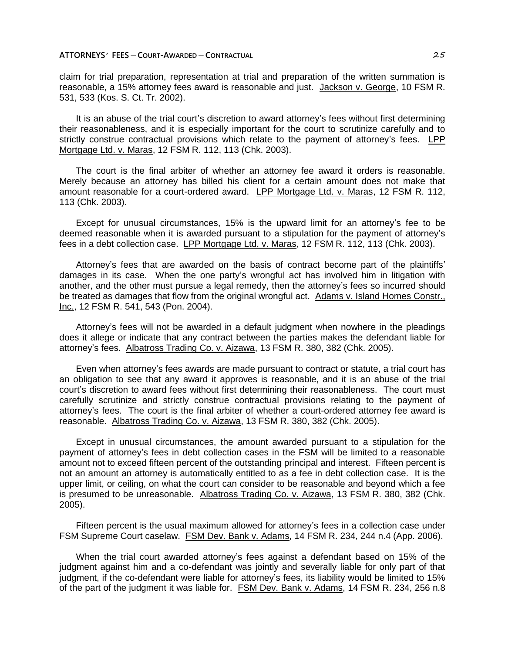claim for trial preparation, representation at trial and preparation of the written summation is reasonable, a 15% attorney fees award is reasonable and just. Jackson v. George, 10 FSM R. 531, 533 (Kos. S. Ct. Tr. 2002).

It is an abuse of the trial court's discretion to award attorney's fees without first determining their reasonableness, and it is especially important for the court to scrutinize carefully and to strictly construe contractual provisions which relate to the payment of attorney's fees. LPP Mortgage Ltd. v. Maras, 12 FSM R. 112, 113 (Chk. 2003).

The court is the final arbiter of whether an attorney fee award it orders is reasonable. Merely because an attorney has billed his client for a certain amount does not make that amount reasonable for a court-ordered award. LPP Mortgage Ltd. v. Maras, 12 FSM R. 112, 113 (Chk. 2003).

Except for unusual circumstances, 15% is the upward limit for an attorney's fee to be deemed reasonable when it is awarded pursuant to a stipulation for the payment of attorney's fees in a debt collection case. LPP Mortgage Ltd. v. Maras, 12 FSM R. 112, 113 (Chk. 2003).

Attorney's fees that are awarded on the basis of contract become part of the plaintiffs' damages in its case. When the one party's wrongful act has involved him in litigation with another, and the other must pursue a legal remedy, then the attorney's fees so incurred should be treated as damages that flow from the original wrongful act. Adams v. Island Homes Constr., Inc., 12 FSM R. 541, 543 (Pon. 2004).

Attorney's fees will not be awarded in a default judgment when nowhere in the pleadings does it allege or indicate that any contract between the parties makes the defendant liable for attorney's fees. Albatross Trading Co. v. Aizawa, 13 FSM R. 380, 382 (Chk. 2005).

Even when attorney's fees awards are made pursuant to contract or statute, a trial court has an obligation to see that any award it approves is reasonable, and it is an abuse of the trial court's discretion to award fees without first determining their reasonableness. The court must carefully scrutinize and strictly construe contractual provisions relating to the payment of attorney's fees. The court is the final arbiter of whether a court-ordered attorney fee award is reasonable. Albatross Trading Co. v. Aizawa, 13 FSM R. 380, 382 (Chk. 2005).

Except in unusual circumstances, the amount awarded pursuant to a stipulation for the payment of attorney's fees in debt collection cases in the FSM will be limited to a reasonable amount not to exceed fifteen percent of the outstanding principal and interest. Fifteen percent is not an amount an attorney is automatically entitled to as a fee in debt collection case. It is the upper limit, or ceiling, on what the court can consider to be reasonable and beyond which a fee is presumed to be unreasonable. Albatross Trading Co. v. Aizawa, 13 FSM R. 380, 382 (Chk. 2005).

Fifteen percent is the usual maximum allowed for attorney's fees in a collection case under FSM Supreme Court caselaw. FSM Dev. Bank v. Adams, 14 FSM R. 234, 244 n.4 (App. 2006).

When the trial court awarded attorney's fees against a defendant based on 15% of the judgment against him and a co-defendant was jointly and severally liable for only part of that judgment, if the co-defendant were liable for attorney's fees, its liability would be limited to 15% of the part of the judgment it was liable for. FSM Dev. Bank v. Adams, 14 FSM R. 234, 256 n.8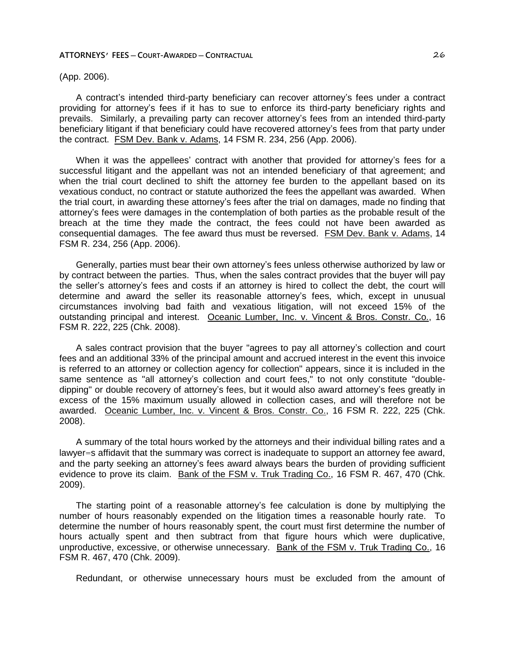(App. 2006).

A contract's intended third-party beneficiary can recover attorney's fees under a contract providing for attorney's fees if it has to sue to enforce its third-party beneficiary rights and prevails. Similarly, a prevailing party can recover attorney's fees from an intended third-party beneficiary litigant if that beneficiary could have recovered attorney's fees from that party under the contract. FSM Dev. Bank v. Adams, 14 FSM R. 234, 256 (App. 2006).

When it was the appellees' contract with another that provided for attorney's fees for a successful litigant and the appellant was not an intended beneficiary of that agreement; and when the trial court declined to shift the attorney fee burden to the appellant based on its vexatious conduct, no contract or statute authorized the fees the appellant was awarded. When the trial court, in awarding these attorney's fees after the trial on damages, made no finding that attorney's fees were damages in the contemplation of both parties as the probable result of the breach at the time they made the contract, the fees could not have been awarded as consequential damages. The fee award thus must be reversed. FSM Dev. Bank v. Adams, 14 FSM R. 234, 256 (App. 2006).

Generally, parties must bear their own attorney's fees unless otherwise authorized by law or by contract between the parties. Thus, when the sales contract provides that the buyer will pay the seller's attorney's fees and costs if an attorney is hired to collect the debt, the court will determine and award the seller its reasonable attorney's fees, which, except in unusual circumstances involving bad faith and vexatious litigation, will not exceed 15% of the outstanding principal and interest. Oceanic Lumber, Inc. v. Vincent & Bros. Constr. Co., 16 FSM R. 222, 225 (Chk. 2008).

A sales contract provision that the buyer "agrees to pay all attorney's collection and court fees and an additional 33% of the principal amount and accrued interest in the event this invoice is referred to an attorney or collection agency for collection" appears, since it is included in the same sentence as "all attorney's collection and court fees," to not only constitute "doubledipping" or double recovery of attorney's fees, but it would also award attorney's fees greatly in excess of the 15% maximum usually allowed in collection cases, and will therefore not be awarded. Oceanic Lumber, Inc. v. Vincent & Bros. Constr. Co., 16 FSM R. 222, 225 (Chk. 2008).

A summary of the total hours worked by the attorneys and their individual billing rates and a lawyer=s affidavit that the summary was correct is inadequate to support an attorney fee award, and the party seeking an attorney's fees award always bears the burden of providing sufficient evidence to prove its claim. Bank of the FSM v. Truk Trading Co., 16 FSM R. 467, 470 (Chk. 2009).

The starting point of a reasonable attorney's fee calculation is done by multiplying the number of hours reasonably expended on the litigation times a reasonable hourly rate. To determine the number of hours reasonably spent, the court must first determine the number of hours actually spent and then subtract from that figure hours which were duplicative, unproductive, excessive, or otherwise unnecessary. Bank of the FSM v. Truk Trading Co., 16 FSM R. 467, 470 (Chk. 2009).

Redundant, or otherwise unnecessary hours must be excluded from the amount of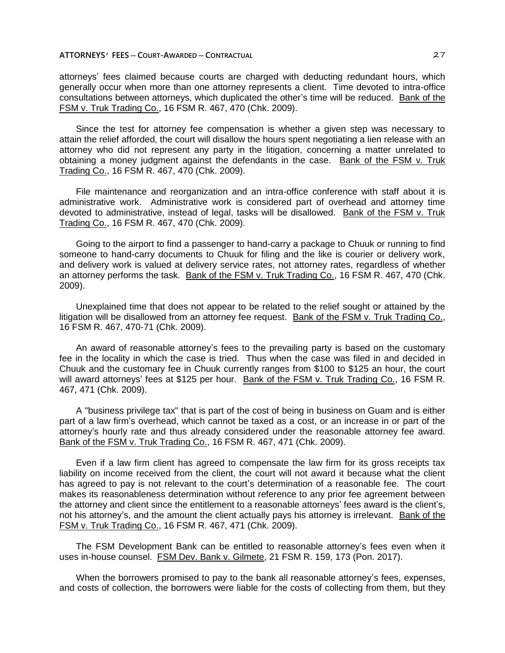attorneys' fees claimed because courts are charged with deducting redundant hours, which generally occur when more than one attorney represents a client. Time devoted to intra-office consultations between attorneys, which duplicated the other's time will be reduced. Bank of the FSM v. Truk Trading Co., 16 FSM R. 467, 470 (Chk. 2009).

Since the test for attorney fee compensation is whether a given step was necessary to attain the relief afforded, the court will disallow the hours spent negotiating a lien release with an attorney who did not represent any party in the litigation, concerning a matter unrelated to obtaining a money judgment against the defendants in the case. Bank of the FSM v. Truk Trading Co., 16 FSM R. 467, 470 (Chk. 2009).

File maintenance and reorganization and an intra-office conference with staff about it is administrative work. Administrative work is considered part of overhead and attorney time devoted to administrative, instead of legal, tasks will be disallowed. Bank of the FSM v. Truk Trading Co., 16 FSM R. 467, 470 (Chk. 2009).

Going to the airport to find a passenger to hand-carry a package to Chuuk or running to find someone to hand-carry documents to Chuuk for filing and the like is courier or delivery work, and delivery work is valued at delivery service rates, not attorney rates, regardless of whether an attorney performs the task. Bank of the FSM v. Truk Trading Co., 16 FSM R. 467, 470 (Chk. 2009).

Unexplained time that does not appear to be related to the relief sought or attained by the litigation will be disallowed from an attorney fee request. Bank of the FSM v. Truk Trading Co., 16 FSM R. 467, 470-71 (Chk. 2009).

An award of reasonable attorney's fees to the prevailing party is based on the customary fee in the locality in which the case is tried. Thus when the case was filed in and decided in Chuuk and the customary fee in Chuuk currently ranges from \$100 to \$125 an hour, the court will award attorneys' fees at \$125 per hour. Bank of the FSM v. Truk Trading Co., 16 FSM R. 467, 471 (Chk. 2009).

A "business privilege tax" that is part of the cost of being in business on Guam and is either part of a law firm's overhead, which cannot be taxed as a cost, or an increase in or part of the attorney's hourly rate and thus already considered under the reasonable attorney fee award. Bank of the FSM v. Truk Trading Co., 16 FSM R. 467, 471 (Chk. 2009).

Even if a law firm client has agreed to compensate the law firm for its gross receipts tax liability on income received from the client, the court will not award it because what the client has agreed to pay is not relevant to the court's determination of a reasonable fee. The court makes its reasonableness determination without reference to any prior fee agreement between the attorney and client since the entitlement to a reasonable attorneys' fees award is the client's, not his attorney's, and the amount the client actually pays his attorney is irrelevant. Bank of the FSM v. Truk Trading Co., 16 FSM R. 467, 471 (Chk. 2009).

The FSM Development Bank can be entitled to reasonable attorney's fees even when it uses in-house counsel. FSM Dev. Bank v. Gilmete, 21 FSM R. 159, 173 (Pon. 2017).

When the borrowers promised to pay to the bank all reasonable attorney's fees, expenses, and costs of collection, the borrowers were liable for the costs of collecting from them, but they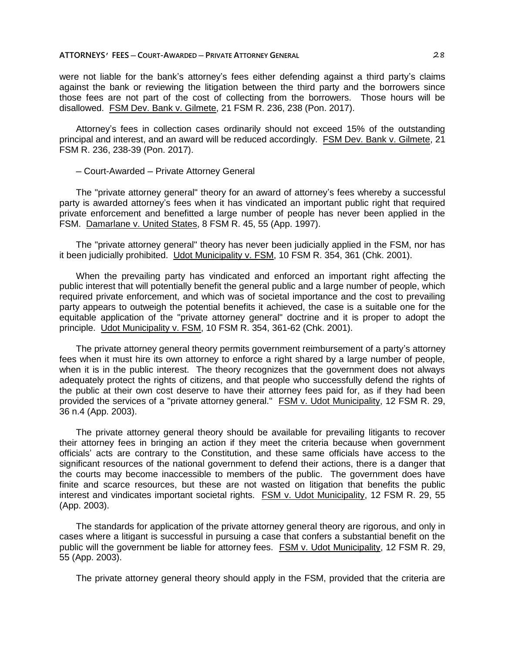were not liable for the bank's attorney's fees either defending against a third party's claims against the bank or reviewing the litigation between the third party and the borrowers since those fees are not part of the cost of collecting from the borrowers. Those hours will be disallowed. FSM Dev. Bank v. Gilmete, 21 FSM R. 236, 238 (Pon. 2017).

Attorney's fees in collection cases ordinarily should not exceed 15% of the outstanding principal and interest, and an award will be reduced accordingly. FSM Dev. Bank v. Gilmete, 21 FSM R. 236, 238-39 (Pon. 2017).

# ─ Court-Awarded ─ Private Attorney General

The "private attorney general" theory for an award of attorney's fees whereby a successful party is awarded attorney's fees when it has vindicated an important public right that required private enforcement and benefitted a large number of people has never been applied in the FSM. Damarlane v. United States, 8 FSM R. 45, 55 (App. 1997).

The "private attorney general" theory has never been judicially applied in the FSM, nor has it been judicially prohibited. Udot Municipality v. FSM, 10 FSM R. 354, 361 (Chk. 2001).

When the prevailing party has vindicated and enforced an important right affecting the public interest that will potentially benefit the general public and a large number of people, which required private enforcement, and which was of societal importance and the cost to prevailing party appears to outweigh the potential benefits it achieved, the case is a suitable one for the equitable application of the "private attorney general" doctrine and it is proper to adopt the principle. Udot Municipality v. FSM, 10 FSM R. 354, 361-62 (Chk. 2001).

The private attorney general theory permits government reimbursement of a party's attorney fees when it must hire its own attorney to enforce a right shared by a large number of people, when it is in the public interest. The theory recognizes that the government does not always adequately protect the rights of citizens, and that people who successfully defend the rights of the public at their own cost deserve to have their attorney fees paid for, as if they had been provided the services of a "private attorney general." FSM v. Udot Municipality, 12 FSM R. 29, 36 n.4 (App. 2003).

The private attorney general theory should be available for prevailing litigants to recover their attorney fees in bringing an action if they meet the criteria because when government officials' acts are contrary to the Constitution, and these same officials have access to the significant resources of the national government to defend their actions, there is a danger that the courts may become inaccessible to members of the public. The government does have finite and scarce resources, but these are not wasted on litigation that benefits the public interest and vindicates important societal rights. FSM v. Udot Municipality, 12 FSM R. 29, 55 (App. 2003).

The standards for application of the private attorney general theory are rigorous, and only in cases where a litigant is successful in pursuing a case that confers a substantial benefit on the public will the government be liable for attorney fees. FSM v. Udot Municipality, 12 FSM R. 29, 55 (App. 2003).

The private attorney general theory should apply in the FSM, provided that the criteria are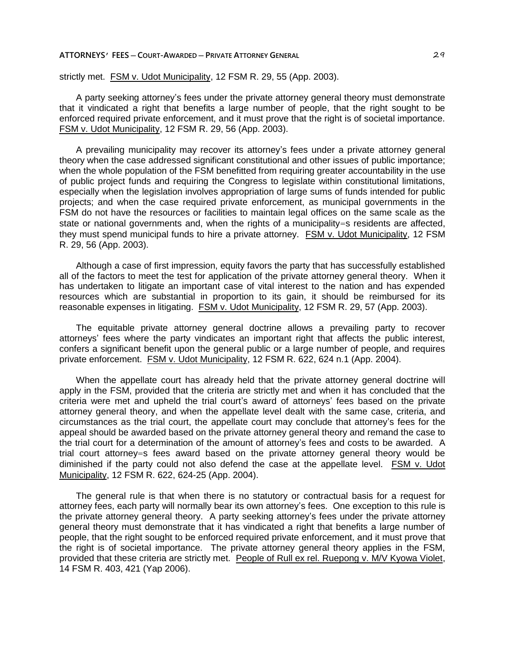strictly met. FSM v. Udot Municipality, 12 FSM R. 29, 55 (App. 2003).

A party seeking attorney's fees under the private attorney general theory must demonstrate that it vindicated a right that benefits a large number of people, that the right sought to be enforced required private enforcement, and it must prove that the right is of societal importance. FSM v. Udot Municipality, 12 FSM R. 29, 56 (App. 2003).

A prevailing municipality may recover its attorney's fees under a private attorney general theory when the case addressed significant constitutional and other issues of public importance; when the whole population of the FSM benefitted from requiring greater accountability in the use of public project funds and requiring the Congress to legislate within constitutional limitations, especially when the legislation involves appropriation of large sums of funds intended for public projects; and when the case required private enforcement, as municipal governments in the FSM do not have the resources or facilities to maintain legal offices on the same scale as the state or national governments and, when the rights of a municipality=s residents are affected, they must spend municipal funds to hire a private attorney. FSM v. Udot Municipality, 12 FSM R. 29, 56 (App. 2003).

Although a case of first impression, equity favors the party that has successfully established all of the factors to meet the test for application of the private attorney general theory. When it has undertaken to litigate an important case of vital interest to the nation and has expended resources which are substantial in proportion to its gain, it should be reimbursed for its reasonable expenses in litigating. FSM v. Udot Municipality, 12 FSM R. 29, 57 (App. 2003).

The equitable private attorney general doctrine allows a prevailing party to recover attorneys' fees where the party vindicates an important right that affects the public interest, confers a significant benefit upon the general public or a large number of people, and requires private enforcement. FSM v. Udot Municipality, 12 FSM R. 622, 624 n.1 (App. 2004).

When the appellate court has already held that the private attorney general doctrine will apply in the FSM, provided that the criteria are strictly met and when it has concluded that the criteria were met and upheld the trial court's award of attorneys' fees based on the private attorney general theory, and when the appellate level dealt with the same case, criteria, and circumstances as the trial court, the appellate court may conclude that attorney's fees for the appeal should be awarded based on the private attorney general theory and remand the case to the trial court for a determination of the amount of attorney's fees and costs to be awarded. A trial court attorney=s fees award based on the private attorney general theory would be diminished if the party could not also defend the case at the appellate level. FSM v. Udot Municipality, 12 FSM R. 622, 624-25 (App. 2004).

The general rule is that when there is no statutory or contractual basis for a request for attorney fees, each party will normally bear its own attorney's fees. One exception to this rule is the private attorney general theory. A party seeking attorney's fees under the private attorney general theory must demonstrate that it has vindicated a right that benefits a large number of people, that the right sought to be enforced required private enforcement, and it must prove that the right is of societal importance. The private attorney general theory applies in the FSM, provided that these criteria are strictly met. People of Rull ex rel. Ruepong v. M/V Kyowa Violet, 14 FSM R. 403, 421 (Yap 2006).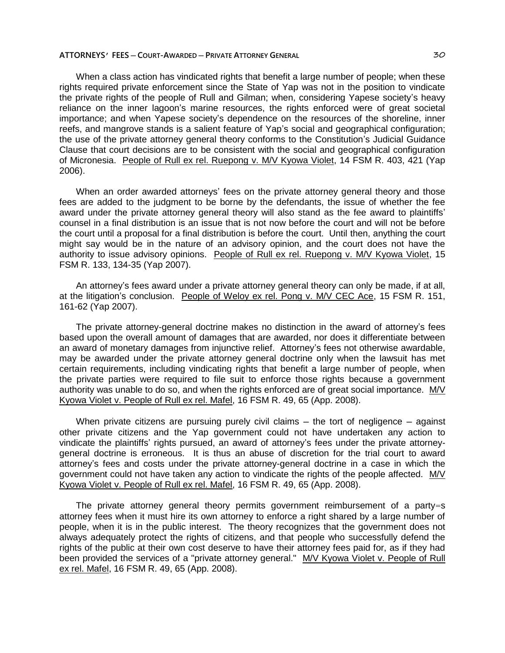When a class action has vindicated rights that benefit a large number of people; when these rights required private enforcement since the State of Yap was not in the position to vindicate the private rights of the people of Rull and Gilman; when, considering Yapese society's heavy reliance on the inner lagoon's marine resources, the rights enforced were of great societal importance; and when Yapese society's dependence on the resources of the shoreline, inner reefs, and mangrove stands is a salient feature of Yap's social and geographical configuration; the use of the private attorney general theory conforms to the Constitution's Judicial Guidance Clause that court decisions are to be consistent with the social and geographical configuration of Micronesia. People of Rull ex rel. Ruepong v. M/V Kyowa Violet, 14 FSM R. 403, 421 (Yap 2006).

When an order awarded attorneys' fees on the private attorney general theory and those fees are added to the judgment to be borne by the defendants, the issue of whether the fee award under the private attorney general theory will also stand as the fee award to plaintiffs' counsel in a final distribution is an issue that is not now before the court and will not be before the court until a proposal for a final distribution is before the court. Until then, anything the court might say would be in the nature of an advisory opinion, and the court does not have the authority to issue advisory opinions. People of Rull ex rel. Ruepong v. M/V Kyowa Violet, 15 FSM R. 133, 134-35 (Yap 2007).

An attorney's fees award under a private attorney general theory can only be made, if at all, at the litigation's conclusion. People of Weloy ex rel. Pong v. M/V CEC Ace, 15 FSM R. 151, 161-62 (Yap 2007).

The private attorney-general doctrine makes no distinction in the award of attorney's fees based upon the overall amount of damages that are awarded, nor does it differentiate between an award of monetary damages from injunctive relief. Attorney's fees not otherwise awardable, may be awarded under the private attorney general doctrine only when the lawsuit has met certain requirements, including vindicating rights that benefit a large number of people, when the private parties were required to file suit to enforce those rights because a government authority was unable to do so, and when the rights enforced are of great social importance. M/V Kyowa Violet v. People of Rull ex rel. Mafel, 16 FSM R. 49, 65 (App. 2008).

When private citizens are pursuing purely civil claims  $-$  the tort of negligence  $-$  against other private citizens and the Yap government could not have undertaken any action to vindicate the plaintiffs' rights pursued, an award of attorney's fees under the private attorneygeneral doctrine is erroneous. It is thus an abuse of discretion for the trial court to award attorney's fees and costs under the private attorney-general doctrine in a case in which the government could not have taken any action to vindicate the rights of the people affected. M/V Kyowa Violet v. People of Rull ex rel. Mafel, 16 FSM R. 49, 65 (App. 2008).

The private attorney general theory permits government reimbursement of a party=s attorney fees when it must hire its own attorney to enforce a right shared by a large number of people, when it is in the public interest. The theory recognizes that the government does not always adequately protect the rights of citizens, and that people who successfully defend the rights of the public at their own cost deserve to have their attorney fees paid for, as if they had been provided the services of a "private attorney general." M/V Kyowa Violet v. People of Rull ex rel. Mafel, 16 FSM R. 49, 65 (App. 2008).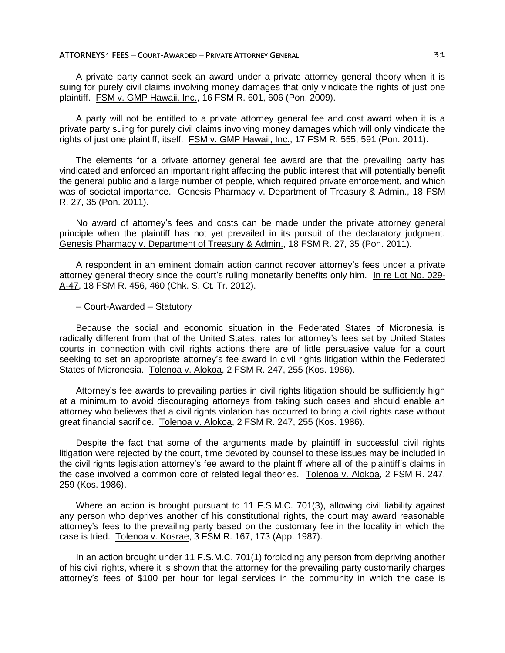A private party cannot seek an award under a private attorney general theory when it is suing for purely civil claims involving money damages that only vindicate the rights of just one plaintiff. FSM v. GMP Hawaii, Inc., 16 FSM R. 601, 606 (Pon. 2009).

A party will not be entitled to a private attorney general fee and cost award when it is a private party suing for purely civil claims involving money damages which will only vindicate the rights of just one plaintiff, itself. FSM v. GMP Hawaii, Inc., 17 FSM R. 555, 591 (Pon. 2011).

The elements for a private attorney general fee award are that the prevailing party has vindicated and enforced an important right affecting the public interest that will potentially benefit the general public and a large number of people, which required private enforcement, and which was of societal importance. Genesis Pharmacy v. Department of Treasury & Admin., 18 FSM R. 27, 35 (Pon. 2011).

No award of attorney's fees and costs can be made under the private attorney general principle when the plaintiff has not yet prevailed in its pursuit of the declaratory judgment. Genesis Pharmacy v. Department of Treasury & Admin., 18 FSM R. 27, 35 (Pon. 2011).

A respondent in an eminent domain action cannot recover attorney's fees under a private attorney general theory since the court's ruling monetarily benefits only him. In re Lot No. 029- A-47, 18 FSM R. 456, 460 (Chk. S. Ct. Tr. 2012).

─ Court-Awarded ─ Statutory

Because the social and economic situation in the Federated States of Micronesia is radically different from that of the United States, rates for attorney's fees set by United States courts in connection with civil rights actions there are of little persuasive value for a court seeking to set an appropriate attorney's fee award in civil rights litigation within the Federated States of Micronesia. Tolenoa v. Alokoa, 2 FSM R. 247, 255 (Kos. 1986).

Attorney's fee awards to prevailing parties in civil rights litigation should be sufficiently high at a minimum to avoid discouraging attorneys from taking such cases and should enable an attorney who believes that a civil rights violation has occurred to bring a civil rights case without great financial sacrifice. Tolenoa v. Alokoa, 2 FSM R. 247, 255 (Kos. 1986).

Despite the fact that some of the arguments made by plaintiff in successful civil rights litigation were rejected by the court, time devoted by counsel to these issues may be included in the civil rights legislation attorney's fee award to the plaintiff where all of the plaintiff's claims in the case involved a common core of related legal theories. Tolenoa v. Alokoa, 2 FSM R. 247, 259 (Kos. 1986).

Where an action is brought pursuant to 11 F.S.M.C. 701(3), allowing civil liability against any person who deprives another of his constitutional rights, the court may award reasonable attorney's fees to the prevailing party based on the customary fee in the locality in which the case is tried. Tolenoa v. Kosrae, 3 FSM R. 167, 173 (App. 1987).

In an action brought under 11 F.S.M.C. 701(1) forbidding any person from depriving another of his civil rights, where it is shown that the attorney for the prevailing party customarily charges attorney's fees of \$100 per hour for legal services in the community in which the case is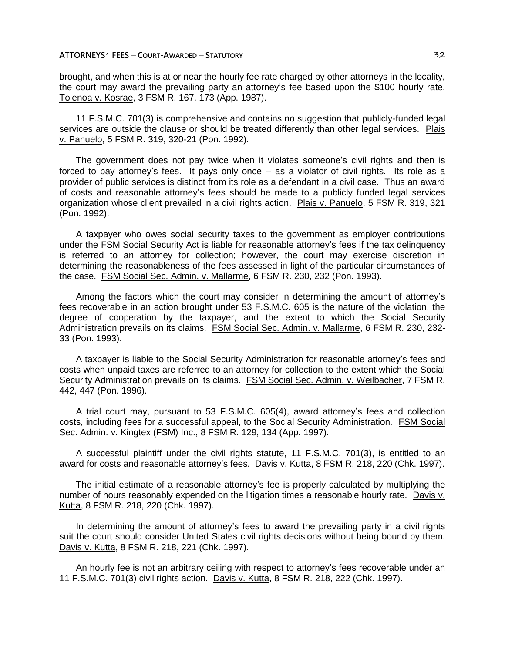brought, and when this is at or near the hourly fee rate charged by other attorneys in the locality, the court may award the prevailing party an attorney's fee based upon the \$100 hourly rate. Tolenoa v. Kosrae, 3 FSM R. 167, 173 (App. 1987).

11 F.S.M.C. 701(3) is comprehensive and contains no suggestion that publicly-funded legal services are outside the clause or should be treated differently than other legal services. Plais v. Panuelo, 5 FSM R. 319, 320-21 (Pon. 1992).

The government does not pay twice when it violates someone's civil rights and then is forced to pay attorney's fees. It pays only once — as a violator of civil rights. Its role as a provider of public services is distinct from its role as a defendant in a civil case. Thus an award of costs and reasonable attorney's fees should be made to a publicly funded legal services organization whose client prevailed in a civil rights action. Plais v. Panuelo, 5 FSM R. 319, 321 (Pon. 1992).

A taxpayer who owes social security taxes to the government as employer contributions under the FSM Social Security Act is liable for reasonable attorney's fees if the tax delinquency is referred to an attorney for collection; however, the court may exercise discretion in determining the reasonableness of the fees assessed in light of the particular circumstances of the case. FSM Social Sec. Admin. v. Mallarme, 6 FSM R. 230, 232 (Pon. 1993).

Among the factors which the court may consider in determining the amount of attorney's fees recoverable in an action brought under 53 F.S.M.C. 605 is the nature of the violation, the degree of cooperation by the taxpayer, and the extent to which the Social Security Administration prevails on its claims. FSM Social Sec. Admin. v. Mallarme, 6 FSM R. 230, 232- 33 (Pon. 1993).

A taxpayer is liable to the Social Security Administration for reasonable attorney's fees and costs when unpaid taxes are referred to an attorney for collection to the extent which the Social Security Administration prevails on its claims. FSM Social Sec. Admin. v. Weilbacher, 7 FSM R. 442, 447 (Pon. 1996).

A trial court may, pursuant to 53 F.S.M.C. 605(4), award attorney's fees and collection costs, including fees for a successful appeal, to the Social Security Administration. FSM Social Sec. Admin. v. Kingtex (FSM) Inc., 8 FSM R. 129, 134 (App. 1997).

A successful plaintiff under the civil rights statute, 11 F.S.M.C. 701(3), is entitled to an award for costs and reasonable attorney's fees. Davis v. Kutta, 8 FSM R. 218, 220 (Chk. 1997).

The initial estimate of a reasonable attorney's fee is properly calculated by multiplying the number of hours reasonably expended on the litigation times a reasonable hourly rate. Davis v. Kutta, 8 FSM R. 218, 220 (Chk. 1997).

In determining the amount of attorney's fees to award the prevailing party in a civil rights suit the court should consider United States civil rights decisions without being bound by them. Davis v. Kutta, 8 FSM R. 218, 221 (Chk. 1997).

An hourly fee is not an arbitrary ceiling with respect to attorney's fees recoverable under an 11 F.S.M.C. 701(3) civil rights action. Davis v. Kutta, 8 FSM R. 218, 222 (Chk. 1997).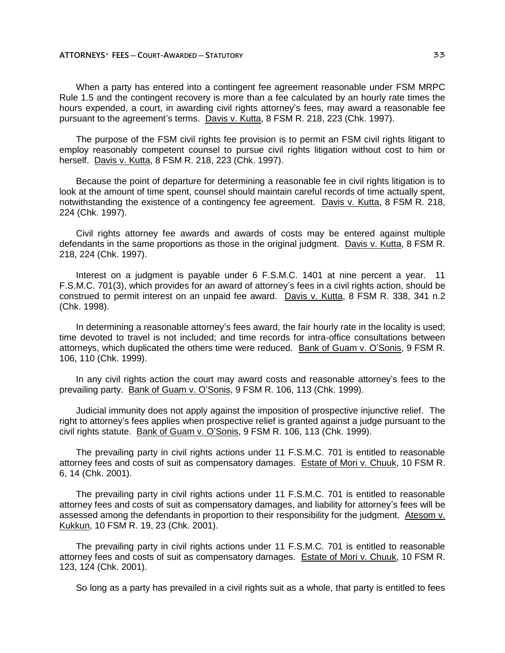When a party has entered into a contingent fee agreement reasonable under FSM MRPC Rule 1.5 and the contingent recovery is more than a fee calculated by an hourly rate times the hours expended, a court, in awarding civil rights attorney's fees, may award a reasonable fee pursuant to the agreement's terms. Davis v. Kutta, 8 FSM R. 218, 223 (Chk. 1997).

The purpose of the FSM civil rights fee provision is to permit an FSM civil rights litigant to employ reasonably competent counsel to pursue civil rights litigation without cost to him or herself. Davis v. Kutta, 8 FSM R. 218, 223 (Chk. 1997).

Because the point of departure for determining a reasonable fee in civil rights litigation is to look at the amount of time spent, counsel should maintain careful records of time actually spent, notwithstanding the existence of a contingency fee agreement. Davis v. Kutta, 8 FSM R. 218, 224 (Chk. 1997).

Civil rights attorney fee awards and awards of costs may be entered against multiple defendants in the same proportions as those in the original judgment. Davis v. Kutta, 8 FSM R. 218, 224 (Chk. 1997).

Interest on a judgment is payable under 6 F.S.M.C. 1401 at nine percent a year. 11 F.S.M.C. 701(3), which provides for an award of attorney's fees in a civil rights action, should be construed to permit interest on an unpaid fee award. Davis v. Kutta, 8 FSM R. 338, 341 n.2 (Chk. 1998).

In determining a reasonable attorney's fees award, the fair hourly rate in the locality is used; time devoted to travel is not included; and time records for intra-office consultations between attorneys, which duplicated the others time were reduced. Bank of Guam v. O'Sonis, 9 FSM R. 106, 110 (Chk. 1999).

In any civil rights action the court may award costs and reasonable attorney's fees to the prevailing party. Bank of Guam v. O'Sonis, 9 FSM R. 106, 113 (Chk. 1999).

Judicial immunity does not apply against the imposition of prospective injunctive relief. The right to attorney's fees applies when prospective relief is granted against a judge pursuant to the civil rights statute. Bank of Guam v. O'Sonis, 9 FSM R. 106, 113 (Chk. 1999).

The prevailing party in civil rights actions under 11 F.S.M.C. 701 is entitled to reasonable attorney fees and costs of suit as compensatory damages. Estate of Mori v. Chuuk, 10 FSM R. 6, 14 (Chk. 2001).

The prevailing party in civil rights actions under 11 F.S.M.C. 701 is entitled to reasonable attorney fees and costs of suit as compensatory damages, and liability for attorney's fees will be assessed among the defendants in proportion to their responsibility for the judgment. Atesom v. Kukkun, 10 FSM R. 19, 23 (Chk. 2001).

The prevailing party in civil rights actions under 11 F.S.M.C. 701 is entitled to reasonable attorney fees and costs of suit as compensatory damages. Estate of Mori v. Chuuk, 10 FSM R. 123, 124 (Chk. 2001).

So long as a party has prevailed in a civil rights suit as a whole, that party is entitled to fees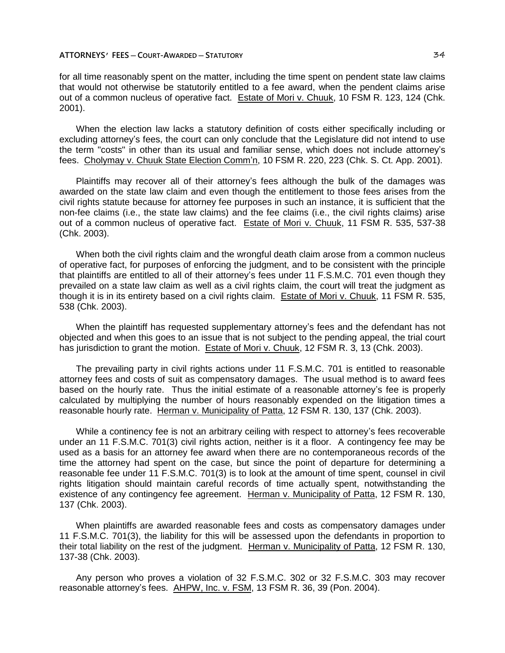for all time reasonably spent on the matter, including the time spent on pendent state law claims that would not otherwise be statutorily entitled to a fee award, when the pendent claims arise out of a common nucleus of operative fact. Estate of Mori v. Chuuk, 10 FSM R. 123, 124 (Chk. 2001).

When the election law lacks a statutory definition of costs either specifically including or excluding attorney's fees, the court can only conclude that the Legislature did not intend to use the term "costs" in other than its usual and familiar sense, which does not include attorney's fees. Cholymay v. Chuuk State Election Comm'n, 10 FSM R. 220, 223 (Chk. S. Ct. App. 2001).

Plaintiffs may recover all of their attorney's fees although the bulk of the damages was awarded on the state law claim and even though the entitlement to those fees arises from the civil rights statute because for attorney fee purposes in such an instance, it is sufficient that the non-fee claims (i.e., the state law claims) and the fee claims (i.e., the civil rights claims) arise out of a common nucleus of operative fact. Estate of Mori v. Chuuk, 11 FSM R. 535, 537-38 (Chk. 2003).

When both the civil rights claim and the wrongful death claim arose from a common nucleus of operative fact, for purposes of enforcing the judgment, and to be consistent with the principle that plaintiffs are entitled to all of their attorney's fees under 11 F.S.M.C. 701 even though they prevailed on a state law claim as well as a civil rights claim, the court will treat the judgment as though it is in its entirety based on a civil rights claim. Estate of Mori v. Chuuk, 11 FSM R. 535, 538 (Chk. 2003).

When the plaintiff has requested supplementary attorney's fees and the defendant has not objected and when this goes to an issue that is not subject to the pending appeal, the trial court has jurisdiction to grant the motion. Estate of Mori v. Chuuk, 12 FSM R. 3, 13 (Chk. 2003).

The prevailing party in civil rights actions under 11 F.S.M.C. 701 is entitled to reasonable attorney fees and costs of suit as compensatory damages. The usual method is to award fees based on the hourly rate. Thus the initial estimate of a reasonable attorney's fee is properly calculated by multiplying the number of hours reasonably expended on the litigation times a reasonable hourly rate. Herman v. Municipality of Patta, 12 FSM R. 130, 137 (Chk. 2003).

While a continency fee is not an arbitrary ceiling with respect to attorney's fees recoverable under an 11 F.S.M.C. 701(3) civil rights action, neither is it a floor. A contingency fee may be used as a basis for an attorney fee award when there are no contemporaneous records of the time the attorney had spent on the case, but since the point of departure for determining a reasonable fee under 11 F.S.M.C. 701(3) is to look at the amount of time spent, counsel in civil rights litigation should maintain careful records of time actually spent, notwithstanding the existence of any contingency fee agreement. Herman v. Municipality of Patta, 12 FSM R. 130, 137 (Chk. 2003).

When plaintiffs are awarded reasonable fees and costs as compensatory damages under 11 F.S.M.C. 701(3), the liability for this will be assessed upon the defendants in proportion to their total liability on the rest of the judgment. Herman v. Municipality of Patta, 12 FSM R. 130, 137-38 (Chk. 2003).

Any person who proves a violation of 32 F.S.M.C. 302 or 32 F.S.M.C. 303 may recover reasonable attorney's fees. AHPW, Inc. v. FSM, 13 FSM R. 36, 39 (Pon. 2004).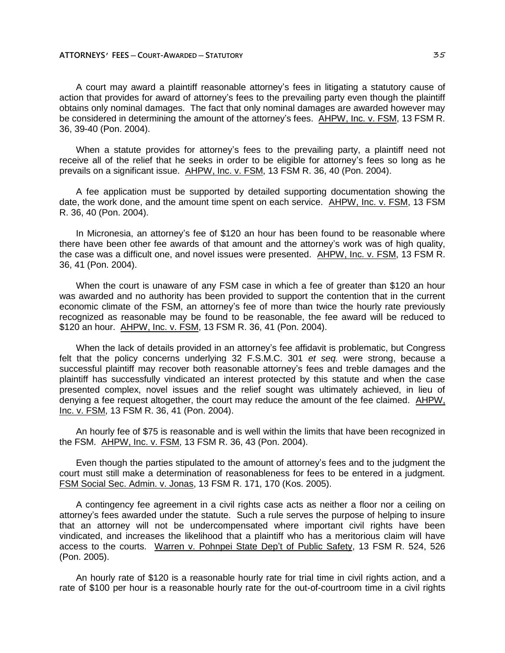A court may award a plaintiff reasonable attorney's fees in litigating a statutory cause of action that provides for award of attorney's fees to the prevailing party even though the plaintiff obtains only nominal damages. The fact that only nominal damages are awarded however may be considered in determining the amount of the attorney's fees. AHPW, Inc. v. FSM, 13 FSM R. 36, 39-40 (Pon. 2004).

When a statute provides for attorney's fees to the prevailing party, a plaintiff need not receive all of the relief that he seeks in order to be eligible for attorney's fees so long as he prevails on a significant issue. AHPW, Inc. v. FSM, 13 FSM R. 36, 40 (Pon. 2004).

A fee application must be supported by detailed supporting documentation showing the date, the work done, and the amount time spent on each service. AHPW, Inc. v. FSM, 13 FSM R. 36, 40 (Pon. 2004).

In Micronesia, an attorney's fee of \$120 an hour has been found to be reasonable where there have been other fee awards of that amount and the attorney's work was of high quality, the case was a difficult one, and novel issues were presented. AHPW, Inc. v. FSM, 13 FSM R. 36, 41 (Pon. 2004).

When the court is unaware of any FSM case in which a fee of greater than \$120 an hour was awarded and no authority has been provided to support the contention that in the current economic climate of the FSM, an attorney's fee of more than twice the hourly rate previously recognized as reasonable may be found to be reasonable, the fee award will be reduced to \$120 an hour. AHPW, Inc. v. FSM, 13 FSM R. 36, 41 (Pon. 2004).

When the lack of details provided in an attorney's fee affidavit is problematic, but Congress felt that the policy concerns underlying 32 F.S.M.C. 301 *et seq.* were strong, because a successful plaintiff may recover both reasonable attorney's fees and treble damages and the plaintiff has successfully vindicated an interest protected by this statute and when the case presented complex, novel issues and the relief sought was ultimately achieved, in lieu of denying a fee request altogether, the court may reduce the amount of the fee claimed. AHPW, Inc. v. FSM, 13 FSM R. 36, 41 (Pon. 2004).

An hourly fee of \$75 is reasonable and is well within the limits that have been recognized in the FSM. AHPW, Inc. v. FSM, 13 FSM R. 36, 43 (Pon. 2004).

Even though the parties stipulated to the amount of attorney's fees and to the judgment the court must still make a determination of reasonableness for fees to be entered in a judgment. FSM Social Sec. Admin. v. Jonas, 13 FSM R. 171, 170 (Kos. 2005).

A contingency fee agreement in a civil rights case acts as neither a floor nor a ceiling on attorney's fees awarded under the statute. Such a rule serves the purpose of helping to insure that an attorney will not be undercompensated where important civil rights have been vindicated, and increases the likelihood that a plaintiff who has a meritorious claim will have access to the courts. Warren v. Pohnpei State Dep't of Public Safety, 13 FSM R. 524, 526 (Pon. 2005).

An hourly rate of \$120 is a reasonable hourly rate for trial time in civil rights action, and a rate of \$100 per hour is a reasonable hourly rate for the out-of-courtroom time in a civil rights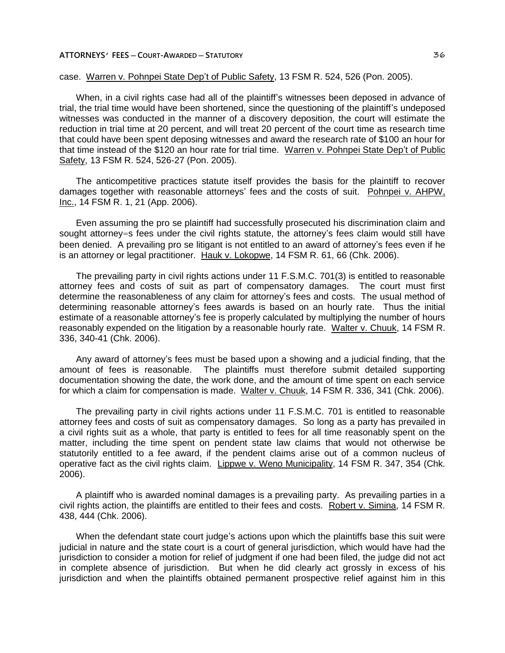# case. Warren v. Pohnpei State Dep't of Public Safety, 13 FSM R. 524, 526 (Pon. 2005).

When, in a civil rights case had all of the plaintiff's witnesses been deposed in advance of trial, the trial time would have been shortened, since the questioning of the plaintiff's undeposed witnesses was conducted in the manner of a discovery deposition, the court will estimate the reduction in trial time at 20 percent, and will treat 20 percent of the court time as research time that could have been spent deposing witnesses and award the research rate of \$100 an hour for that time instead of the \$120 an hour rate for trial time. Warren v. Pohnpei State Dep't of Public Safety, 13 FSM R. 524, 526-27 (Pon. 2005).

The anticompetitive practices statute itself provides the basis for the plaintiff to recover damages together with reasonable attorneys' fees and the costs of suit. Pohnpei v. AHPW, Inc., 14 FSM R. 1, 21 (App. 2006).

Even assuming the pro se plaintiff had successfully prosecuted his discrimination claim and sought attorney=s fees under the civil rights statute, the attorney's fees claim would still have been denied. A prevailing pro se litigant is not entitled to an award of attorney's fees even if he is an attorney or legal practitioner. Hauk v. Lokopwe, 14 FSM R. 61, 66 (Chk. 2006).

The prevailing party in civil rights actions under 11 F.S.M.C. 701(3) is entitled to reasonable attorney fees and costs of suit as part of compensatory damages. The court must first determine the reasonableness of any claim for attorney's fees and costs. The usual method of determining reasonable attorney's fees awards is based on an hourly rate. Thus the initial estimate of a reasonable attorney's fee is properly calculated by multiplying the number of hours reasonably expended on the litigation by a reasonable hourly rate. Walter v. Chuuk, 14 FSM R. 336, 340-41 (Chk. 2006).

Any award of attorney's fees must be based upon a showing and a judicial finding, that the amount of fees is reasonable. The plaintiffs must therefore submit detailed supporting documentation showing the date, the work done, and the amount of time spent on each service for which a claim for compensation is made. Walter v. Chuuk, 14 FSM R. 336, 341 (Chk. 2006).

The prevailing party in civil rights actions under 11 F.S.M.C. 701 is entitled to reasonable attorney fees and costs of suit as compensatory damages. So long as a party has prevailed in a civil rights suit as a whole, that party is entitled to fees for all time reasonably spent on the matter, including the time spent on pendent state law claims that would not otherwise be statutorily entitled to a fee award, if the pendent claims arise out of a common nucleus of operative fact as the civil rights claim. Lippwe v. Weno Municipality, 14 FSM R. 347, 354 (Chk. 2006).

A plaintiff who is awarded nominal damages is a prevailing party. As prevailing parties in a civil rights action, the plaintiffs are entitled to their fees and costs. Robert v. Simina, 14 FSM R. 438, 444 (Chk. 2006).

When the defendant state court judge's actions upon which the plaintiffs base this suit were judicial in nature and the state court is a court of general jurisdiction, which would have had the jurisdiction to consider a motion for relief of judgment if one had been filed, the judge did not act in complete absence of jurisdiction. But when he did clearly act grossly in excess of his jurisdiction and when the plaintiffs obtained permanent prospective relief against him in this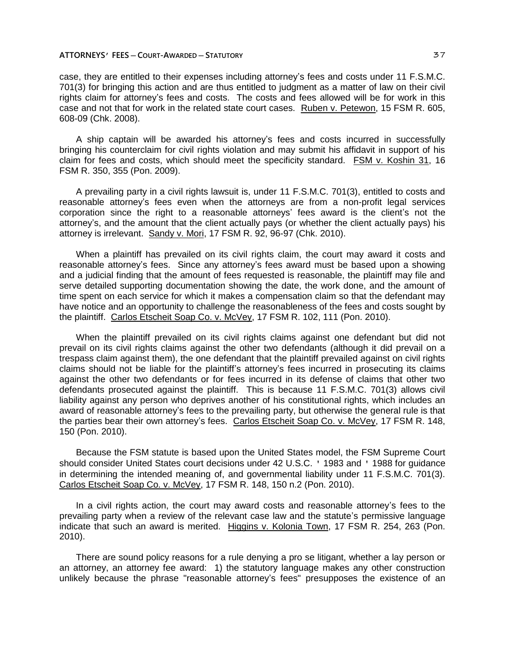case, they are entitled to their expenses including attorney's fees and costs under 11 F.S.M.C. 701(3) for bringing this action and are thus entitled to judgment as a matter of law on their civil rights claim for attorney's fees and costs. The costs and fees allowed will be for work in this case and not that for work in the related state court cases. Ruben v. Petewon, 15 FSM R. 605, 608-09 (Chk. 2008).

A ship captain will be awarded his attorney's fees and costs incurred in successfully bringing his counterclaim for civil rights violation and may submit his affidavit in support of his claim for fees and costs, which should meet the specificity standard. FSM v. Koshin 31, 16 FSM R. 350, 355 (Pon. 2009).

A prevailing party in a civil rights lawsuit is, under 11 F.S.M.C. 701(3), entitled to costs and reasonable attorney's fees even when the attorneys are from a non-profit legal services corporation since the right to a reasonable attorneys' fees award is the client's not the attorney's, and the amount that the client actually pays (or whether the client actually pays) his attorney is irrelevant. Sandy v. Mori, 17 FSM R. 92, 96-97 (Chk. 2010).

When a plaintiff has prevailed on its civil rights claim, the court may award it costs and reasonable attorney's fees. Since any attorney's fees award must be based upon a showing and a judicial finding that the amount of fees requested is reasonable, the plaintiff may file and serve detailed supporting documentation showing the date, the work done, and the amount of time spent on each service for which it makes a compensation claim so that the defendant may have notice and an opportunity to challenge the reasonableness of the fees and costs sought by the plaintiff. Carlos Etscheit Soap Co. v. McVey, 17 FSM R. 102, 111 (Pon. 2010).

When the plaintiff prevailed on its civil rights claims against one defendant but did not prevail on its civil rights claims against the other two defendants (although it did prevail on a trespass claim against them), the one defendant that the plaintiff prevailed against on civil rights claims should not be liable for the plaintiff's attorney's fees incurred in prosecuting its claims against the other two defendants or for fees incurred in its defense of claims that other two defendants prosecuted against the plaintiff. This is because 11 F.S.M.C. 701(3) allows civil liability against any person who deprives another of his constitutional rights, which includes an award of reasonable attorney's fees to the prevailing party, but otherwise the general rule is that the parties bear their own attorney's fees. Carlos Etscheit Soap Co. v. McVey, 17 FSM R. 148, 150 (Pon. 2010).

Because the FSM statute is based upon the United States model, the FSM Supreme Court should consider United States court decisions under 42 U.S.C. ' 1983 and ' 1988 for guidance in determining the intended meaning of, and governmental liability under 11 F.S.M.C. 701(3). Carlos Etscheit Soap Co. v. McVey, 17 FSM R. 148, 150 n.2 (Pon. 2010).

In a civil rights action, the court may award costs and reasonable attorney's fees to the prevailing party when a review of the relevant case law and the statute's permissive language indicate that such an award is merited. Higgins v. Kolonia Town, 17 FSM R. 254, 263 (Pon. 2010).

There are sound policy reasons for a rule denying a pro se litigant, whether a lay person or an attorney, an attorney fee award: 1) the statutory language makes any other construction unlikely because the phrase "reasonable attorney's fees" presupposes the existence of an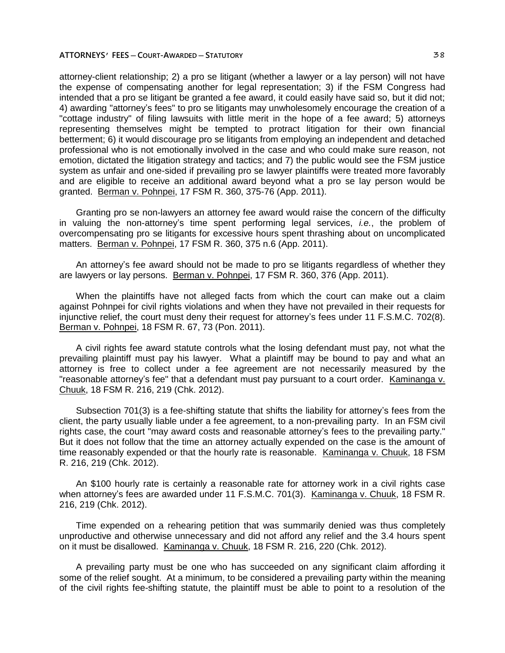attorney-client relationship; 2) a pro se litigant (whether a lawyer or a lay person) will not have the expense of compensating another for legal representation; 3) if the FSM Congress had intended that a pro se litigant be granted a fee award, it could easily have said so, but it did not; 4) awarding "attorney's fees" to pro se litigants may unwholesomely encourage the creation of a "cottage industry" of filing lawsuits with little merit in the hope of a fee award; 5) attorneys representing themselves might be tempted to protract litigation for their own financial betterment; 6) it would discourage pro se litigants from employing an independent and detached professional who is not emotionally involved in the case and who could make sure reason, not emotion, dictated the litigation strategy and tactics; and 7) the public would see the FSM justice system as unfair and one-sided if prevailing pro se lawyer plaintiffs were treated more favorably and are eligible to receive an additional award beyond what a pro se lay person would be granted. Berman v. Pohnpei, 17 FSM R. 360, 375-76 (App. 2011).

Granting pro se non-lawyers an attorney fee award would raise the concern of the difficulty in valuing the non-attorney's time spent performing legal services, *i.e.*, the problem of overcompensating pro se litigants for excessive hours spent thrashing about on uncomplicated matters. Berman v. Pohnpei, 17 FSM R. 360, 375 n.6 (App. 2011).

An attorney's fee award should not be made to pro se litigants regardless of whether they are lawyers or lay persons. Berman v. Pohnpei, 17 FSM R. 360, 376 (App. 2011).

When the plaintiffs have not alleged facts from which the court can make out a claim against Pohnpei for civil rights violations and when they have not prevailed in their requests for injunctive relief, the court must deny their request for attorney's fees under 11 F.S.M.C. 702(8). Berman v. Pohnpei, 18 FSM R. 67, 73 (Pon. 2011).

A civil rights fee award statute controls what the losing defendant must pay, not what the prevailing plaintiff must pay his lawyer. What a plaintiff may be bound to pay and what an attorney is free to collect under a fee agreement are not necessarily measured by the "reasonable attorney's fee" that a defendant must pay pursuant to a court order. Kaminanga v. Chuuk, 18 FSM R. 216, 219 (Chk. 2012).

Subsection 701(3) is a fee-shifting statute that shifts the liability for attorney's fees from the client, the party usually liable under a fee agreement, to a non-prevailing party. In an FSM civil rights case, the court "may award costs and reasonable attorney's fees to the prevailing party." But it does not follow that the time an attorney actually expended on the case is the amount of time reasonably expended or that the hourly rate is reasonable. Kaminanga v. Chuuk, 18 FSM R. 216, 219 (Chk. 2012).

An \$100 hourly rate is certainly a reasonable rate for attorney work in a civil rights case when attorney's fees are awarded under 11 F.S.M.C. 701(3). Kaminanga v. Chuuk, 18 FSM R. 216, 219 (Chk. 2012).

Time expended on a rehearing petition that was summarily denied was thus completely unproductive and otherwise unnecessary and did not afford any relief and the 3.4 hours spent on it must be disallowed. Kaminanga v. Chuuk, 18 FSM R. 216, 220 (Chk. 2012).

A prevailing party must be one who has succeeded on any significant claim affording it some of the relief sought. At a minimum, to be considered a prevailing party within the meaning of the civil rights fee-shifting statute, the plaintiff must be able to point to a resolution of the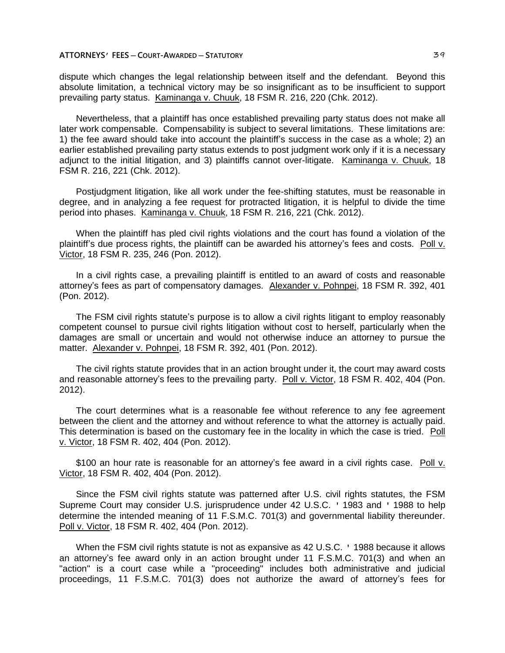dispute which changes the legal relationship between itself and the defendant. Beyond this absolute limitation, a technical victory may be so insignificant as to be insufficient to support prevailing party status. Kaminanga v. Chuuk, 18 FSM R. 216, 220 (Chk. 2012).

Nevertheless, that a plaintiff has once established prevailing party status does not make all later work compensable. Compensability is subject to several limitations. These limitations are: 1) the fee award should take into account the plaintiff's success in the case as a whole; 2) an earlier established prevailing party status extends to post judgment work only if it is a necessary adjunct to the initial litigation, and 3) plaintiffs cannot over-litigate. Kaminanga v. Chuuk, 18 FSM R. 216, 221 (Chk. 2012).

Postjudgment litigation, like all work under the fee-shifting statutes, must be reasonable in degree, and in analyzing a fee request for protracted litigation, it is helpful to divide the time period into phases. Kaminanga v. Chuuk, 18 FSM R. 216, 221 (Chk. 2012).

When the plaintiff has pled civil rights violations and the court has found a violation of the plaintiff's due process rights, the plaintiff can be awarded his attorney's fees and costs. Poll v. Victor, 18 FSM R. 235, 246 (Pon. 2012).

In a civil rights case, a prevailing plaintiff is entitled to an award of costs and reasonable attorney's fees as part of compensatory damages. Alexander v. Pohnpei, 18 FSM R. 392, 401 (Pon. 2012).

The FSM civil rights statute's purpose is to allow a civil rights litigant to employ reasonably competent counsel to pursue civil rights litigation without cost to herself, particularly when the damages are small or uncertain and would not otherwise induce an attorney to pursue the matter. Alexander v. Pohnpei, 18 FSM R. 392, 401 (Pon. 2012).

The civil rights statute provides that in an action brought under it, the court may award costs and reasonable attorney's fees to the prevailing party. Poll v. Victor, 18 FSM R. 402, 404 (Pon. 2012).

The court determines what is a reasonable fee without reference to any fee agreement between the client and the attorney and without reference to what the attorney is actually paid. This determination is based on the customary fee in the locality in which the case is tried. Poll v. Victor, 18 FSM R. 402, 404 (Pon. 2012).

\$100 an hour rate is reasonable for an attorney's fee award in a civil rights case. Poll v. Victor, 18 FSM R. 402, 404 (Pon. 2012).

Since the FSM civil rights statute was patterned after U.S. civil rights statutes, the FSM Supreme Court may consider U.S. jurisprudence under 42 U.S.C. ' 1983 and ' 1988 to help determine the intended meaning of 11 F.S.M.C. 701(3) and governmental liability thereunder. Poll v. Victor, 18 FSM R. 402, 404 (Pon. 2012).

When the FSM civil rights statute is not as expansive as 42 U.S.C. ' 1988 because it allows an attorney's fee award only in an action brought under 11 F.S.M.C. 701(3) and when an "action" is a court case while a "proceeding" includes both administrative and judicial proceedings, 11 F.S.M.C. 701(3) does not authorize the award of attorney's fees for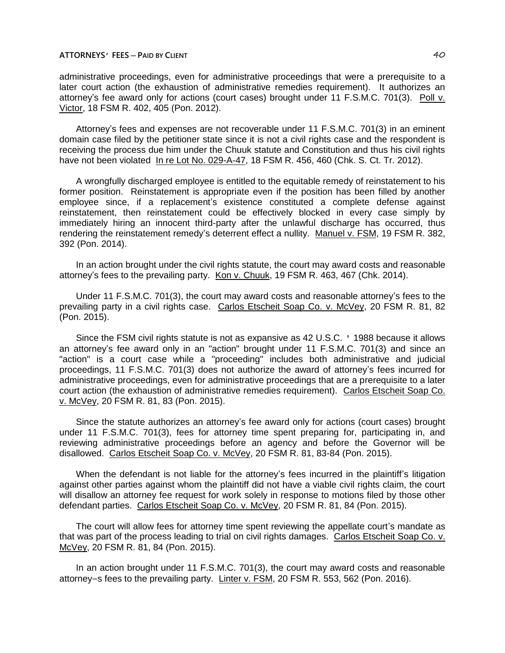# **ATTORNEYS' FEES ─ PAID BY CLIENT** 40

administrative proceedings, even for administrative proceedings that were a prerequisite to a later court action (the exhaustion of administrative remedies requirement). It authorizes an attorney's fee award only for actions (court cases) brought under 11 F.S.M.C. 701(3). Poll v. Victor, 18 FSM R. 402, 405 (Pon. 2012).

Attorney's fees and expenses are not recoverable under 11 F.S.M.C. 701(3) in an eminent domain case filed by the petitioner state since it is not a civil rights case and the respondent is receiving the process due him under the Chuuk statute and Constitution and thus his civil rights have not been violated In re Lot No. 029-A-47, 18 FSM R. 456, 460 (Chk. S. Ct. Tr. 2012).

A wrongfully discharged employee is entitled to the equitable remedy of reinstatement to his former position. Reinstatement is appropriate even if the position has been filled by another employee since, if a replacement's existence constituted a complete defense against reinstatement, then reinstatement could be effectively blocked in every case simply by immediately hiring an innocent third-party after the unlawful discharge has occurred, thus rendering the reinstatement remedy's deterrent effect a nullity. Manuel v. FSM, 19 FSM R. 382, 392 (Pon. 2014).

In an action brought under the civil rights statute, the court may award costs and reasonable attorney's fees to the prevailing party. Kon v. Chuuk, 19 FSM R. 463, 467 (Chk. 2014).

Under 11 F.S.M.C. 701(3), the court may award costs and reasonable attorney's fees to the prevailing party in a civil rights case. Carlos Etscheit Soap Co. v. McVey, 20 FSM R. 81, 82 (Pon. 2015).

Since the FSM civil rights statute is not as expansive as 42 U.S.C. ' 1988 because it allows an attorney's fee award only in an "action" brought under 11 F.S.M.C. 701(3) and since an "action" is a court case while a "proceeding" includes both administrative and judicial proceedings, 11 F.S.M.C. 701(3) does not authorize the award of attorney's fees incurred for administrative proceedings, even for administrative proceedings that are a prerequisite to a later court action (the exhaustion of administrative remedies requirement). Carlos Etscheit Soap Co. v. McVey, 20 FSM R. 81, 83 (Pon. 2015).

Since the statute authorizes an attorney's fee award only for actions (court cases) brought under 11 F.S.M.C. 701(3), fees for attorney time spent preparing for, participating in, and reviewing administrative proceedings before an agency and before the Governor will be disallowed. Carlos Etscheit Soap Co. v. McVey, 20 FSM R. 81, 83-84 (Pon. 2015).

When the defendant is not liable for the attorney's fees incurred in the plaintiff's litigation against other parties against whom the plaintiff did not have a viable civil rights claim, the court will disallow an attorney fee request for work solely in response to motions filed by those other defendant parties. Carlos Etscheit Soap Co. v. McVey, 20 FSM R. 81, 84 (Pon. 2015).

The court will allow fees for attorney time spent reviewing the appellate court's mandate as that was part of the process leading to trial on civil rights damages. Carlos Etscheit Soap Co. v. McVey, 20 FSM R. 81, 84 (Pon. 2015).

In an action brought under 11 F.S.M.C. 701(3), the court may award costs and reasonable attorney=s fees to the prevailing party. Linter v. FSM, 20 FSM R. 553, 562 (Pon. 2016).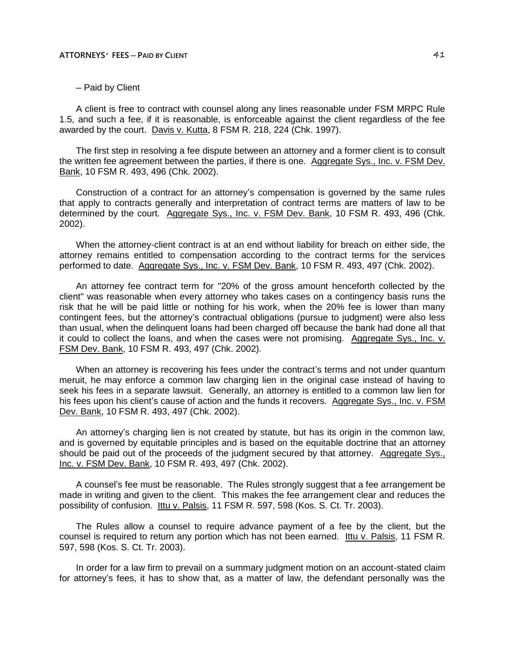─ Paid by Client

A client is free to contract with counsel along any lines reasonable under FSM MRPC Rule 1.5, and such a fee, if it is reasonable, is enforceable against the client regardless of the fee awarded by the court. Davis v. Kutta, 8 FSM R. 218, 224 (Chk. 1997).

The first step in resolving a fee dispute between an attorney and a former client is to consult the written fee agreement between the parties, if there is one. Aggregate Sys., Inc. v. FSM Dev. Bank, 10 FSM R. 493, 496 (Chk. 2002).

Construction of a contract for an attorney's compensation is governed by the same rules that apply to contracts generally and interpretation of contract terms are matters of law to be determined by the court. Aggregate Sys., Inc. v. FSM Dev. Bank, 10 FSM R. 493, 496 (Chk. 2002).

When the attorney-client contract is at an end without liability for breach on either side, the attorney remains entitled to compensation according to the contract terms for the services performed to date. Aggregate Sys., Inc. v. FSM Dev. Bank, 10 FSM R. 493, 497 (Chk. 2002).

An attorney fee contract term for "20% of the gross amount henceforth collected by the client" was reasonable when every attorney who takes cases on a contingency basis runs the risk that he will be paid little or nothing for his work, when the 20% fee is lower than many contingent fees, but the attorney's contractual obligations (pursue to judgment) were also less than usual, when the delinquent loans had been charged off because the bank had done all that it could to collect the loans, and when the cases were not promising. Aggregate Sys., Inc. v. FSM Dev. Bank, 10 FSM R. 493, 497 (Chk. 2002).

When an attorney is recovering his fees under the contract's terms and not under quantum meruit, he may enforce a common law charging lien in the original case instead of having to seek his fees in a separate lawsuit. Generally, an attorney is entitled to a common law lien for his fees upon his client's cause of action and the funds it recovers. Aggregate Sys., Inc. v. FSM Dev. Bank, 10 FSM R. 493, 497 (Chk. 2002).

An attorney's charging lien is not created by statute, but has its origin in the common law, and is governed by equitable principles and is based on the equitable doctrine that an attorney should be paid out of the proceeds of the judgment secured by that attorney. Aggregate Sys., Inc. v. FSM Dev. Bank, 10 FSM R. 493, 497 (Chk. 2002).

A counsel's fee must be reasonable. The Rules strongly suggest that a fee arrangement be made in writing and given to the client. This makes the fee arrangement clear and reduces the possibility of confusion. Ittu v. Palsis, 11 FSM R. 597, 598 (Kos. S. Ct. Tr. 2003).

The Rules allow a counsel to require advance payment of a fee by the client, but the counsel is required to return any portion which has not been earned. Ittu v. Palsis, 11 FSM R. 597, 598 (Kos. S. Ct. Tr. 2003).

In order for a law firm to prevail on a summary judgment motion on an account-stated claim for attorney's fees, it has to show that, as a matter of law, the defendant personally was the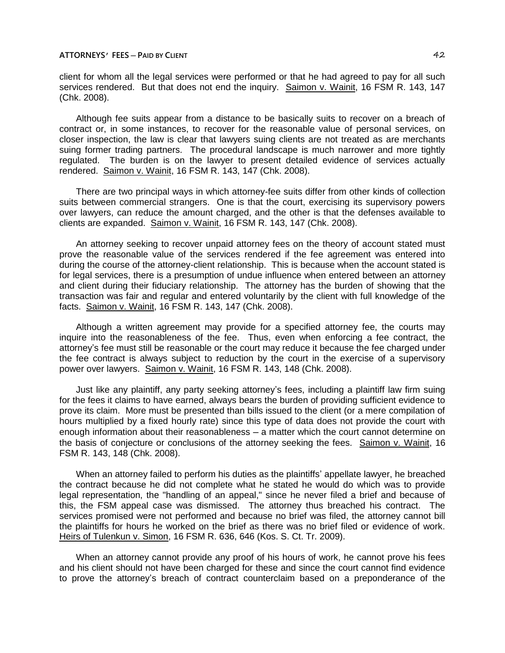**ATTORNEYS' FEES ─ PAID BY CLIENT** 42

client for whom all the legal services were performed or that he had agreed to pay for all such services rendered. But that does not end the inquiry. Saimon v. Wainit, 16 FSM R. 143, 147 (Chk. 2008).

Although fee suits appear from a distance to be basically suits to recover on a breach of contract or, in some instances, to recover for the reasonable value of personal services, on closer inspection, the law is clear that lawyers suing clients are not treated as are merchants suing former trading partners. The procedural landscape is much narrower and more tightly regulated. The burden is on the lawyer to present detailed evidence of services actually rendered. Saimon v. Wainit, 16 FSM R. 143, 147 (Chk. 2008).

There are two principal ways in which attorney-fee suits differ from other kinds of collection suits between commercial strangers. One is that the court, exercising its supervisory powers over lawyers, can reduce the amount charged, and the other is that the defenses available to clients are expanded. Saimon v. Wainit, 16 FSM R. 143, 147 (Chk. 2008).

An attorney seeking to recover unpaid attorney fees on the theory of account stated must prove the reasonable value of the services rendered if the fee agreement was entered into during the course of the attorney-client relationship. This is because when the account stated is for legal services, there is a presumption of undue influence when entered between an attorney and client during their fiduciary relationship. The attorney has the burden of showing that the transaction was fair and regular and entered voluntarily by the client with full knowledge of the facts. Saimon v. Wainit, 16 FSM R. 143, 147 (Chk. 2008).

Although a written agreement may provide for a specified attorney fee, the courts may inquire into the reasonableness of the fee. Thus, even when enforcing a fee contract, the attorney's fee must still be reasonable or the court may reduce it because the fee charged under the fee contract is always subject to reduction by the court in the exercise of a supervisory power over lawyers. Saimon v. Wainit, 16 FSM R. 143, 148 (Chk. 2008).

Just like any plaintiff, any party seeking attorney's fees, including a plaintiff law firm suing for the fees it claims to have earned, always bears the burden of providing sufficient evidence to prove its claim. More must be presented than bills issued to the client (or a mere compilation of hours multiplied by a fixed hourly rate) since this type of data does not provide the court with enough information about their reasonableness — a matter which the court cannot determine on the basis of conjecture or conclusions of the attorney seeking the fees. Saimon v. Wainit, 16 FSM R. 143, 148 (Chk. 2008).

When an attorney failed to perform his duties as the plaintiffs' appellate lawyer, he breached the contract because he did not complete what he stated he would do which was to provide legal representation, the "handling of an appeal," since he never filed a brief and because of this, the FSM appeal case was dismissed. The attorney thus breached his contract. The services promised were not performed and because no brief was filed, the attorney cannot bill the plaintiffs for hours he worked on the brief as there was no brief filed or evidence of work. Heirs of Tulenkun v. Simon, 16 FSM R. 636, 646 (Kos. S. Ct. Tr. 2009).

When an attorney cannot provide any proof of his hours of work, he cannot prove his fees and his client should not have been charged for these and since the court cannot find evidence to prove the attorney's breach of contract counterclaim based on a preponderance of the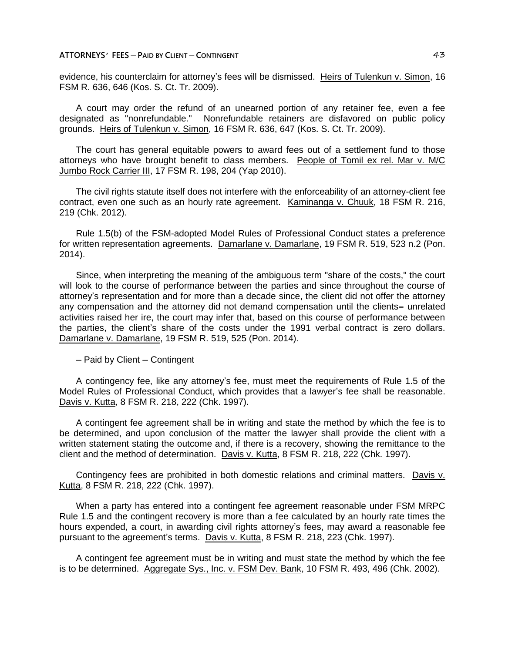evidence, his counterclaim for attorney's fees will be dismissed. Heirs of Tulenkun v. Simon, 16 FSM R. 636, 646 (Kos. S. Ct. Tr. 2009).

A court may order the refund of an unearned portion of any retainer fee, even a fee designated as "nonrefundable." Nonrefundable retainers are disfavored on public policy grounds. Heirs of Tulenkun v. Simon, 16 FSM R. 636, 647 (Kos. S. Ct. Tr. 2009).

The court has general equitable powers to award fees out of a settlement fund to those attorneys who have brought benefit to class members. People of Tomil ex rel. Mar v. M/C Jumbo Rock Carrier III, 17 FSM R. 198, 204 (Yap 2010).

The civil rights statute itself does not interfere with the enforceability of an attorney-client fee contract, even one such as an hourly rate agreement. Kaminanga v. Chuuk, 18 FSM R. 216, 219 (Chk. 2012).

Rule 1.5(b) of the FSM-adopted Model Rules of Professional Conduct states a preference for written representation agreements. Damarlane v. Damarlane, 19 FSM R. 519, 523 n.2 (Pon. 2014).

Since, when interpreting the meaning of the ambiguous term "share of the costs," the court will look to the course of performance between the parties and since throughout the course of attorney's representation and for more than a decade since, the client did not offer the attorney any compensation and the attorney did not demand compensation until the clients= unrelated activities raised her ire, the court may infer that, based on this course of performance between the parties, the client's share of the costs under the 1991 verbal contract is zero dollars. Damarlane v. Damarlane, 19 FSM R. 519, 525 (Pon. 2014).

─ Paid by Client ─ Contingent

A contingency fee, like any attorney's fee, must meet the requirements of Rule 1.5 of the Model Rules of Professional Conduct, which provides that a lawyer's fee shall be reasonable. Davis v. Kutta, 8 FSM R. 218, 222 (Chk. 1997).

A contingent fee agreement shall be in writing and state the method by which the fee is to be determined, and upon conclusion of the matter the lawyer shall provide the client with a written statement stating the outcome and, if there is a recovery, showing the remittance to the client and the method of determination. Davis v. Kutta, 8 FSM R. 218, 222 (Chk. 1997).

Contingency fees are prohibited in both domestic relations and criminal matters. Davis v. Kutta, 8 FSM R. 218, 222 (Chk. 1997).

When a party has entered into a contingent fee agreement reasonable under FSM MRPC Rule 1.5 and the contingent recovery is more than a fee calculated by an hourly rate times the hours expended, a court, in awarding civil rights attorney's fees, may award a reasonable fee pursuant to the agreement's terms. Davis v. Kutta, 8 FSM R. 218, 223 (Chk. 1997).

A contingent fee agreement must be in writing and must state the method by which the fee is to be determined. Aggregate Sys., Inc. v. FSM Dev. Bank, 10 FSM R. 493, 496 (Chk. 2002).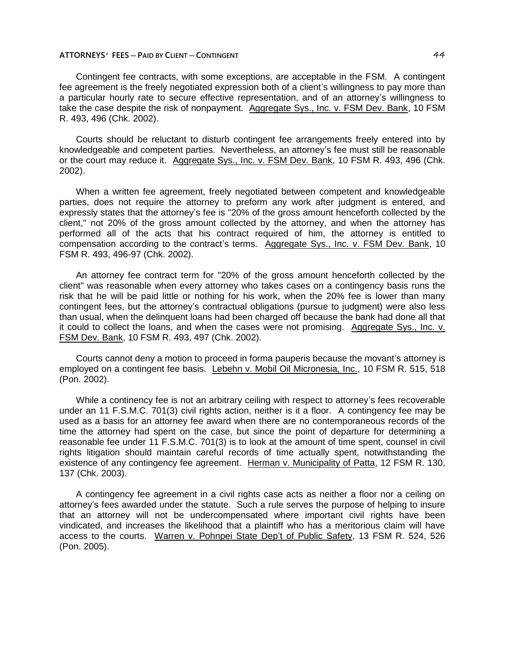# **ATTORNEYS' FEES ─ PAID BY CLIENT ─ CONTINGENT** 44

Contingent fee contracts, with some exceptions, are acceptable in the FSM. A contingent fee agreement is the freely negotiated expression both of a client's willingness to pay more than a particular hourly rate to secure effective representation, and of an attorney's willingness to take the case despite the risk of nonpayment. Aggregate Sys., Inc. v. FSM Dev. Bank, 10 FSM R. 493, 496 (Chk. 2002).

Courts should be reluctant to disturb contingent fee arrangements freely entered into by knowledgeable and competent parties. Nevertheless, an attorney's fee must still be reasonable or the court may reduce it. Aggregate Sys., Inc. v. FSM Dev. Bank, 10 FSM R. 493, 496 (Chk. 2002).

When a written fee agreement, freely negotiated between competent and knowledgeable parties, does not require the attorney to preform any work after judgment is entered, and expressly states that the attorney's fee is "20% of the gross amount henceforth collected by the client," not 20% of the gross amount collected by the attorney, and when the attorney has performed all of the acts that his contract required of him, the attorney is entitled to compensation according to the contract's terms. Aggregate Sys., Inc. v. FSM Dev. Bank, 10 FSM R. 493, 496-97 (Chk. 2002).

An attorney fee contract term for "20% of the gross amount henceforth collected by the client" was reasonable when every attorney who takes cases on a contingency basis runs the risk that he will be paid little or nothing for his work, when the 20% fee is lower than many contingent fees, but the attorney's contractual obligations (pursue to judgment) were also less than usual, when the delinquent loans had been charged off because the bank had done all that it could to collect the loans, and when the cases were not promising. Aggregate Sys., Inc. v. FSM Dev. Bank, 10 FSM R. 493, 497 (Chk. 2002).

Courts cannot deny a motion to proceed in forma pauperis because the movant's attorney is employed on a contingent fee basis. Lebehn v. Mobil Oil Micronesia, Inc., 10 FSM R. 515, 518 (Pon. 2002).

While a continency fee is not an arbitrary ceiling with respect to attorney's fees recoverable under an 11 F.S.M.C. 701(3) civil rights action, neither is it a floor. A contingency fee may be used as a basis for an attorney fee award when there are no contemporaneous records of the time the attorney had spent on the case, but since the point of departure for determining a reasonable fee under 11 F.S.M.C. 701(3) is to look at the amount of time spent, counsel in civil rights litigation should maintain careful records of time actually spent, notwithstanding the existence of any contingency fee agreement. Herman v. Municipality of Patta, 12 FSM R. 130, 137 (Chk. 2003).

A contingency fee agreement in a civil rights case acts as neither a floor nor a ceiling on attorney's fees awarded under the statute. Such a rule serves the purpose of helping to insure that an attorney will not be undercompensated where important civil rights have been vindicated, and increases the likelihood that a plaintiff who has a meritorious claim will have access to the courts. Warren v. Pohnpei State Dep't of Public Safety, 13 FSM R. 524, 526 (Pon. 2005).